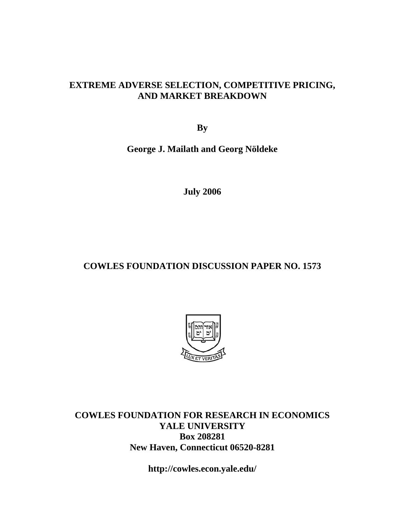# **EXTREME ADVERSE SELECTION, COMPETITIVE PRICING, AND MARKET BREAKDOWN**

**By** 

**George J. Mailath and Georg Nöldeke** 

**July 2006** 

# **COWLES FOUNDATION DISCUSSION PAPER NO. 1573**



**COWLES FOUNDATION FOR RESEARCH IN ECONOMICS YALE UNIVERSITY Box 208281 New Haven, Connecticut 06520-8281** 

**http://cowles.econ.yale.edu/**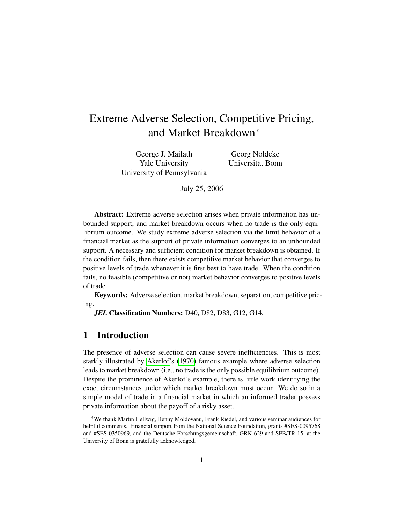# Extreme Adverse Selection, Competitive Pricing, and Market Breakdown<sup>∗</sup>

George J. Mailath Yale University University of Pennsylvania

Georg Nöldeke Universitat Bonn ¨

July 25, 2006

Abstract: Extreme adverse selection arises when private information has unbounded support, and market breakdown occurs when no trade is the only equilibrium outcome. We study extreme adverse selection via the limit behavior of a financial market as the support of private information converges to an unbounded support. A necessary and sufficient condition for market breakdown is obtained. If the condition fails, then there exists competitive market behavior that converges to positive levels of trade whenever it is first best to have trade. When the condition fails, no feasible (competitive or not) market behavior converges to positive levels of trade.

Keywords: Adverse selection, market breakdown, separation, competitive pricing.

*JEL* Classification Numbers: D40, D82, D83, G12, G14.

## 1 Introduction

The presence of adverse selection can cause severe inefficiencies. This is most starkly illustrated by [Akerlof'](#page-43-0)s [\(1970\)](#page-43-0) famous example where adverse selection leads to market breakdown (i.e., no trade is the only possible equilibrium outcome). Despite the prominence of Akerlof's example, there is little work identifying the exact circumstances under which market breakdown must occur. We do so in a simple model of trade in a financial market in which an informed trader possess private information about the payoff of a risky asset.

<sup>∗</sup>We thank Martin Hellwig, Benny Moldovanu, Frank Riedel, and various seminar audiences for helpful comments. Financial support from the National Science Foundation, grants #SES-0095768 and #SES-0350969, and the Deutsche Forschungsgemeinschaft, GRK 629 and SFB/TR 15, at the University of Bonn is gratefully acknowledged.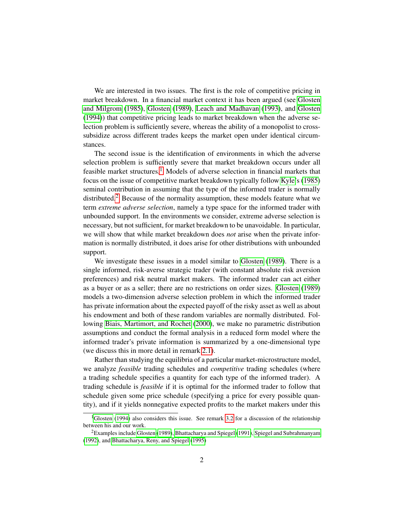We are interested in two issues. The first is the role of competitive pricing in market breakdown. In a financial market context it has been argued (see [Glosten](#page-44-0) [and Milgrom](#page-44-0) [\(1985\)](#page-44-0), [Glosten](#page-44-1) [\(1989\)](#page-44-1), [Leach and Madhavan](#page-45-0) [\(1993\)](#page-45-0), and [Glosten](#page-44-2) [\(1994\)](#page-44-2)) that competitive pricing leads to market breakdown when the adverse selection problem is sufficiently severe, whereas the ability of a monopolist to crosssubsidize across different trades keeps the market open under identical circumstances.

The second issue is the identification of environments in which the adverse selection problem is sufficiently severe that market breakdown occurs under all feasible market structures.<sup>[1](#page-2-0)</sup> Models of adverse selection in financial markets that focus on the issue of competitive market breakdown typically follow [Kyle'](#page-45-1)s [\(1985\)](#page-45-1) seminal contribution in assuming that the type of the informed trader is normally distributed.<sup>[2](#page-2-1)</sup> Because of the normality assumption, these models feature what we term *extreme adverse selection*, namely a type space for the informed trader with unbounded support. In the environments we consider, extreme adverse selection is necessary, but not sufficient, for market breakdown to be unavoidable. In particular, we will show that while market breakdown does *not* arise when the private information is normally distributed, it does arise for other distributions with unbounded support.

We investigate these issues in a model similar to [Glosten](#page-44-1) [\(1989\)](#page-44-1). There is a single informed, risk-averse strategic trader (with constant absolute risk aversion preferences) and risk neutral market makers. The informed trader can act either as a buyer or as a seller; there are no restrictions on order sizes. [Glosten](#page-44-1) [\(1989\)](#page-44-1) models a two-dimension adverse selection problem in which the informed trader has private information about the expected payoff of the risky asset as well as about his endowment and both of these random variables are normally distributed. Following [Biais, Martimort, and Rochet](#page-44-3) [\(2000\)](#page-44-3), we make no parametric distribution assumptions and conduct the formal analysis in a reduced form model where the informed trader's private information is summarized by a one-dimensional type (we discuss this in more detail in remark [2.1\)](#page-6-0).

Rather than studying the equilibria of a particular market-microstructure model, we analyze *feasible* trading schedules and *competitive* trading schedules (where a trading schedule specifies a quantity for each type of the informed trader). A trading schedule is *feasible* if it is optimal for the informed trader to follow that schedule given some price schedule (specifying a price for every possible quantity), and if it yields nonnegative expected profits to the market makers under this

<span id="page-2-0"></span><sup>&</sup>lt;sup>1</sup>[Glosten](#page-44-2) [\(1994\)](#page-44-2) also considers this issue. See remark [3.2](#page-13-0) for a discussion of the relationship between his and our work.

<span id="page-2-1"></span><sup>&</sup>lt;sup>2</sup>Examples include [Glosten](#page-44-1) [\(1989\)](#page-44-1), [Bhattacharya and Spiegel](#page-43-1) [\(1991\)](#page-43-1), [Spiegel and Subrahmanyam](#page-46-0) [\(1992\)](#page-46-0), and [Bhattacharya, Reny, and Spiegel](#page-43-2) [\(1995\)](#page-43-2)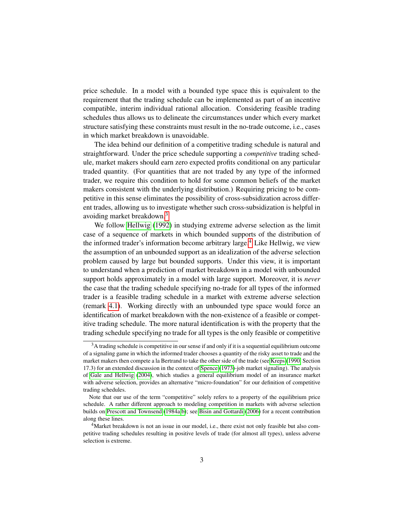price schedule. In a model with a bounded type space this is equivalent to the requirement that the trading schedule can be implemented as part of an incentive compatible, interim individual rational allocation. Considering feasible trading schedules thus allows us to delineate the circumstances under which every market structure satisfying these constraints must result in the no-trade outcome, i.e., cases in which market breakdown is unavoidable.

The idea behind our definition of a competitive trading schedule is natural and straightforward. Under the price schedule supporting a *competitive* trading schedule, market makers should earn zero expected profits conditional on any particular traded quantity. (For quantities that are not traded by any type of the informed trader, we require this condition to hold for some common beliefs of the market makers consistent with the underlying distribution.) Requiring pricing to be competitive in this sense eliminates the possibility of cross-subsidization across different trades, allowing us to investigate whether such cross-subsidization is helpful in avoiding market breakdown.[3](#page-3-0)

We follow [Hellwig](#page-44-4) [\(1992\)](#page-44-4) in studying extreme adverse selection as the limit case of a sequence of markets in which bounded supports of the distribution of the informed trader's information become arbitrary large.<sup>[4](#page-3-1)</sup> Like Hellwig, we view the assumption of an unbounded support as an idealization of the adverse selection problem caused by large but bounded supports. Under this view, it is important to understand when a prediction of market breakdown in a model with unbounded support holds approximately in a model with large support. Moreover, it is *never* the case that the trading schedule specifying no-trade for all types of the informed trader is a feasible trading schedule in a market with extreme adverse selection (remark [4.1\)](#page-19-0). Working directly with an unbounded type space would force an identification of market breakdown with the non-existence of a feasible or competitive trading schedule. The more natural identification is with the property that the trading schedule specifying no trade for all types is the only feasible or competitive

<span id="page-3-0"></span> $3A$  trading schedule is competitive in our sense if and only if it is a sequential equilibrium outcome of a signaling game in which the informed trader chooses a quantity of the risky asset to trade and the market makers then compete a la Bertrand to take the other side of the trade (see [Kreps](#page-45-2) [\(1990,](#page-45-2) Section 17.3) for an extended discussion in the context of [Spence](#page-46-1) [\(1973\)](#page-46-1)-job market signaling). The analysis of [Gale and Hellwig](#page-44-5) [\(2004\)](#page-44-5), which studies a general equilibrium model of an insurance market with adverse selection, provides an alternative "micro-foundation" for our definition of competitive trading schedules.

Note that our use of the term "competitive" solely refers to a property of the equilibrium price schedule. A rather different approach to modeling competition in markets with adverse selection builds on [Prescott and Townsend](#page-45-3) [\(1984a,](#page-45-3)[b\)](#page-45-4); see [Bisin and Gottardi](#page-44-6) [\(2006\)](#page-44-6) for a recent contribution along these lines.

<span id="page-3-1"></span><sup>&</sup>lt;sup>4</sup>Market breakdown is not an issue in our model, i.e., there exist not only feasible but also competitive trading schedules resulting in positive levels of trade (for almost all types), unless adverse selection is extreme.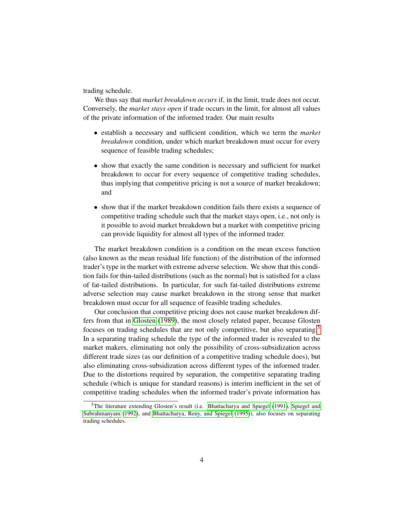trading schedule.

We thus say that *market breakdown occurs* if, in the limit, trade does not occur. Conversely, the *market stays open* if trade occurs in the limit, for almost all values of the private information of the informed trader. Our main results

- establish a necessary and sufficient condition, which we term the *market breakdown* condition, under which market breakdown must occur for every sequence of feasible trading schedules;
- show that exactly the same condition is necessary and sufficient for market breakdown to occur for every sequence of competitive trading schedules, thus implying that competitive pricing is not a source of market breakdown; and
- show that if the market breakdown condition fails there exists a sequence of competitive trading schedule such that the market stays open, i.e., not only is it possible to avoid market breakdown but a market with competitive pricing can provide liquidity for almost all types of the informed trader.

The market breakdown condition is a condition on the mean excess function (also known as the mean residual life function) of the distribution of the informed trader's type in the market with extreme adverse selection. We show that this condition fails for thin-tailed distributions (such as the normal) but is satisfied for a class of fat-tailed distributions. In particular, for such fat-tailed distributions extreme adverse selection may cause market breakdown in the strong sense that market breakdown must occur for all sequence of feasible trading schedules.

Our conclusion that competitive pricing does not cause market breakdown differs from that in [Glosten](#page-44-1) [\(1989\)](#page-44-1), the most closely related paper, because Glosten focuses on trading schedules that are not only competitive, but also separating.[5](#page-4-0) In a separating trading schedule the type of the informed trader is revealed to the market makers, eliminating not only the possibility of cross-subsidization across different trade sizes (as our definition of a competitive trading schedule does), but also eliminating cross-subsidization across different types of the informed trader. Due to the distortions required by separation, the competitive separating trading schedule (which is unique for standard reasons) is interim inefficient in the set of competitive trading schedules when the informed trader's private information has

<span id="page-4-0"></span><sup>5</sup>The literature extending Glosten's result (i.e. [Bhattacharya and Spiegel](#page-43-1) [\(1991\)](#page-43-1), [Spiegel and](#page-46-0) [Subrahmanyam](#page-46-0) [\(1992\)](#page-46-0), and [Bhattacharya, Reny, and Spiegel](#page-43-2) [\(1995\)](#page-43-2)), also focuses on separating trading schedules.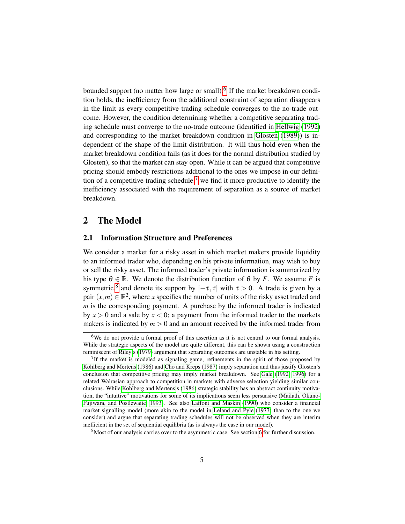bounded support (no matter how large or small).<sup>[6](#page-5-0)</sup> If the market breakdown condition holds, the inefficiency from the additional constraint of separation disappears in the limit as every competitive trading schedule converges to the no-trade outcome. However, the condition determining whether a competitive separating trading schedule must converge to the no-trade outcome (identified in [Hellwig](#page-44-4) [\(1992\)](#page-44-4) and corresponding to the market breakdown condition in [Glosten](#page-44-1) [\(1989\)](#page-44-1)) is independent of the shape of the limit distribution. It will thus hold even when the market breakdown condition fails (as it does for the normal distribution studied by Glosten), so that the market can stay open. While it can be argued that competitive pricing should embody restrictions additional to the ones we impose in our defini-tion of a competitive trading schedule,<sup>[7](#page-5-1)</sup> we find it more productive to identify the inefficiency associated with the requirement of separation as a source of market breakdown.

## 2 The Model

#### 2.1 Information Structure and Preferences

We consider a market for a risky asset in which market makers provide liquidity to an informed trader who, depending on his private information, may wish to buy or sell the risky asset. The informed trader's private information is summarized by his type  $\theta \in \mathbb{R}$ . We denote the distribution function of  $\theta$  by *F*. We assume *F* is symmetric,<sup>[8](#page-5-2)</sup> and denote its support by  $[-\tau, \tau]$  with  $\tau > 0$ . A trade is given by a pair  $(x, m) \in \mathbb{R}^2$ , where *x* specifies the number of units of the risky asset traded and *m* is the corresponding payment. A purchase by the informed trader is indicated by  $x > 0$  and a sale by  $x < 0$ ; a payment from the informed trader to the markets makers is indicated by  $m > 0$  and an amount received by the informed trader from

<span id="page-5-0"></span><sup>&</sup>lt;sup>6</sup>We do not provide a formal proof of this assertion as it is not central to our formal analysis. While the strategic aspects of the model are quite different, this can be shown using a construction reminiscent of [Riley'](#page-46-2)s [\(1979\)](#page-46-2) argument that separating outcomes are unstable in his setting.

<span id="page-5-1"></span><sup>&</sup>lt;sup>7</sup>If the market is modeled as signaling game, refinements in the spirit of those proposed by [Kohlberg and Mertens](#page-45-5) [\(1986\)](#page-45-5) and [Cho and Kreps](#page-44-7) [\(1987\)](#page-44-7) imply separation and thus justify Glosten's conclusion that competitive pricing may imply market breakdown. See [Gale](#page-44-8) [\(1992,](#page-44-8) [1996\)](#page-44-9) for a related Walrasian approach to competition in markets with adverse selection yielding similar conclusions. While [Kohlberg and Mertens'](#page-45-5)s [\(1986\)](#page-45-5) strategic stability has an abstract continuity motivation, the "intuitive" motivations for some of its implications seem less persuasive [\(Mailath, Okuno-](#page-45-6)[Fujiwara, and Postlewaite, 1993\)](#page-45-6). See also [Laffont and Maskin](#page-45-7) [\(1990\)](#page-45-7) who consider a financial market signalling model (more akin to the model in [Leland and Pyle](#page-45-8) [\(1977\)](#page-45-8) than to the one we consider) and argue that separating trading schedules will not be observed when they are interim inefficient in the set of sequential equilibria (as is always the case in our model).

<span id="page-5-2"></span><sup>8</sup>Most of our analysis carries over to the asymmetric case. See section [6](#page-29-0) for further discussion.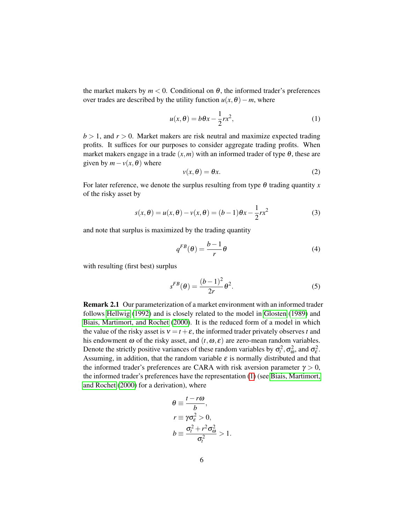the market makers by  $m < 0$ . Conditional on  $\theta$ , the informed trader's preferences over trades are described by the utility function  $u(x, \theta) - m$ , where

<span id="page-6-1"></span>
$$
u(x,\theta) = b\theta x - \frac{1}{2}rx^2,
$$
 (1)

 $b > 1$ , and  $r > 0$ . Market makers are risk neutral and maximize expected trading profits. It suffices for our purposes to consider aggregate trading profits. When market makers engage in a trade  $(x, m)$  with an informed trader of type  $\theta$ , these are given by  $m - v(x, \theta)$  where

<span id="page-6-2"></span>
$$
v(x,\theta) = \theta x. \tag{2}
$$

For later reference, we denote the surplus resulting from type  $\theta$  trading quantity *x* of the risky asset by

<span id="page-6-5"></span>
$$
s(x, \theta) = u(x, \theta) - v(x, \theta) = (b - 1)\theta x - \frac{1}{2}rx^2
$$
\n(3)

and note that surplus is maximized by the trading quantity

<span id="page-6-3"></span>
$$
q^{FB}(\theta) = \frac{b-1}{r}\theta
$$
 (4)

with resulting (first best) surplus

<span id="page-6-4"></span>
$$
s^{FB}(\theta) = \frac{(b-1)^2}{2r} \theta^2.
$$
 (5)

<span id="page-6-0"></span>Remark 2.1 Our parameterization of a market environment with an informed trader follows [Hellwig](#page-44-4) [\(1992\)](#page-44-4) and is closely related to the model in [Glosten](#page-44-1) [\(1989\)](#page-44-1) and [Biais, Martimort, and Rochet](#page-44-3) [\(2000\)](#page-44-3). It is the reduced form of a model in which the value of the risky asset is  $v = t + \varepsilon$ , the informed trader privately observes t and his endowment  $\omega$  of the risky asset, and  $(t, \omega, \varepsilon)$  are zero-mean random variables. Denote the strictly positive variances of these random variables by  $\sigma_t^2$ ,  $\sigma_{\omega}^2$ , and  $\sigma_{\varepsilon}^2$ . Assuming, in addition, that the random variable  $\varepsilon$  is normally distributed and that the informed trader's preferences are CARA with risk aversion parameter  $\gamma > 0$ , the informed trader's preferences have the representation [\(1\)](#page-6-1) (see [Biais, Martimort,](#page-44-3) [and Rochet](#page-44-3) [\(2000\)](#page-44-3) for a derivation), where

$$
\theta \equiv \frac{t - r\omega}{b},
$$
  
\n
$$
r \equiv \gamma \sigma_{\varepsilon}^2 > 0,
$$
  
\n
$$
b \equiv \frac{\sigma_{t}^2 + r^2 \sigma_{\omega}^2}{\sigma_{t}^2} > 1.
$$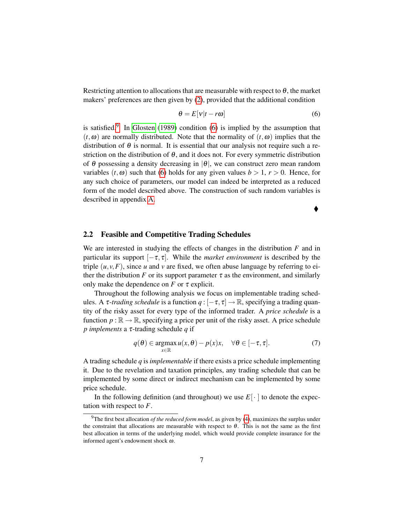Restricting attention to allocations that are measurable with respect to  $\theta$ , the market makers' preferences are then given by [\(2\)](#page-6-2), provided that the additional condition

<span id="page-7-1"></span>
$$
\theta = E[v|t - r\omega]
$$
\n(6)

is satisfied.<sup>[9](#page-7-0)</sup> In [Glosten](#page-44-1) [\(1989\)](#page-44-1) condition [\(6\)](#page-7-1) is implied by the assumption that  $(t, \omega)$  are normally distributed. Note that the normality of  $(t, \omega)$  implies that the distribution of  $\theta$  is normal. It is essential that our analysis not require such a restriction on the distribution of  $\theta$ , and it does not. For every symmetric distribution of  $\theta$  possessing a density decreasing in  $|\theta|$ , we can construct zero mean random variables  $(t, \omega)$  such that [\(6\)](#page-7-1) holds for any given values  $b > 1$ ,  $r > 0$ . Hence, for any such choice of parameters, our model can indeed be interpreted as a reduced form of the model described above. The construction of such random variables is described in appendix [A.](#page-30-0)

 $\blacklozenge$ 

#### 2.2 Feasible and Competitive Trading Schedules

We are interested in studying the effects of changes in the distribution *F* and in particular its support  $[-\tau, \tau]$ . While the *market environment* is described by the triple  $(u, v, F)$ , since *u* and *v* are fixed, we often abuse language by referring to either the distribution *F* or its support parameter  $\tau$  as the environment, and similarly only make the dependence on  $F$  or  $\tau$  explicit.

Throughout the following analysis we focus on implementable trading schedules. A  $\tau$ -*trading schedule* is a function  $q : [-\tau, \tau] \to \mathbb{R}$ , specifying a trading quantity of the risky asset for every type of the informed trader. A *price schedule* is a function  $p : \mathbb{R} \to \mathbb{R}$ , specifying a price per unit of the risky asset. A price schedule *p implements* a τ-trading schedule *q* if

<span id="page-7-2"></span>
$$
q(\theta) \in \operatorname*{argmax}_{x \in \mathbb{R}} u(x, \theta) - p(x)x, \quad \forall \theta \in [-\tau, \tau]. \tag{7}
$$

A trading schedule *q* is *implementable* if there exists a price schedule implementing it. Due to the revelation and taxation principles, any trading schedule that can be implemented by some direct or indirect mechanism can be implemented by some price schedule.

In the following definition (and throughout) we use  $E[\cdot]$  to denote the expectation with respect to *F*.

<span id="page-7-3"></span><span id="page-7-0"></span><sup>9</sup>The first best allocation *of the reduced form model*, as given by [\(4\)](#page-6-3), maximizes the surplus under the constraint that allocations are measurable with respect to  $\theta$ . This is not the same as the first best allocation in terms of the underlying model, which would provide complete insurance for the informed agent's endowment shock ω.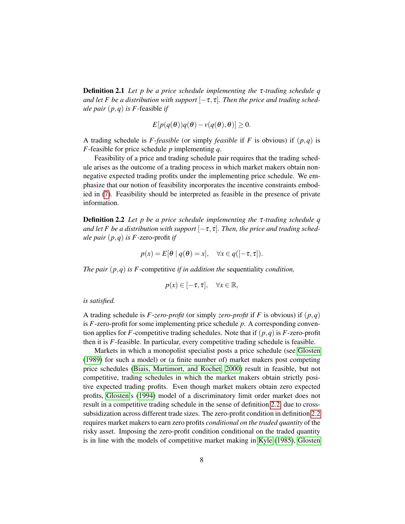Definition 2.1 *Let p be a price schedule implementing the* τ*-trading schedule q and let F be a distribution with support*  $[-\tau, \tau]$ *. Then the price and trading schedule pair* (*p*,*q*) *is F -*feasible *if*

$$
E[p(q(\theta))q(\theta)-v(q(\theta),\theta)]\geq 0.
$$

A trading schedule is *F*-*feasible* (or simply *feasible* if *F* is obvious) if (*p*,*q*) is *F*-feasible for price schedule *p* implementing *q*.

Feasibility of a price and trading schedule pair requires that the trading schedule arises as the outcome of a trading process in which market makers obtain nonnegative expected trading profits under the implementing price schedule. We emphasize that our notion of feasibility incorporates the incentive constraints embodied in [\(7\)](#page-7-2). Feasibility should be interpreted as feasible in the presence of private information.

<span id="page-8-0"></span>Definition 2.2 *Let p be a price schedule implementing the* τ*-trading schedule q* and let F be a distribution with support  $[-\tau, \tau]$ . Then, the price and trading sched*ule pair* (*p*,*q*) *is F -*zero-profit *if*

$$
p(x) = E[\theta | q(\theta) = x], \quad \forall x \in q([-\tau, \tau]).
$$

*The pair* (*p*,*q*) *is F -*competitive *if in addition the* sequentiality *condition,*

$$
p(x) \in [-\tau, \tau], \quad \forall x \in \mathbb{R},
$$

*is satisfied.*

A trading schedule is *F*-*zero-profit* (or simply *zero-profit* if *F* is obvious) if (*p*,*q*) is *F*-zero-profit for some implementing price schedule *p*. A corresponding convention applies for *F*-competitive trading schedules. Note that if  $(p,q)$  is *F*-zero-profit then it is *F*-feasible. In particular, every competitive trading schedule is feasible.

Markets in which a monopolist specialist posts a price schedule (see [Glosten](#page-44-1) [\(1989\)](#page-44-1) for such a model) or (a finite number of) market makers post competing price schedules [\(Biais, Martimort, and Rochet, 2000\)](#page-44-3) result in feasible, but not competitive, trading schedules in which the market makers obtain strictly positive expected trading profits. Even though market makers obtain zero expected profits, [Glosten'](#page-44-2)s [\(1994\)](#page-44-2) model of a discriminatory limit order market does not result in a competitive trading schedule in the sense of definition [2.2,](#page-8-0) due to crosssubsidization across different trade sizes. The zero-profit condition in definition [2.2](#page-8-0) requires market makers to earn zero profits *conditional on the traded quantity* of the risky asset. Imposing the zero-profit condition conditional on the traded quantity is in line with the models of competitive market making in [Kyle](#page-45-1) [\(1985\)](#page-45-1), [Glosten](#page-44-1)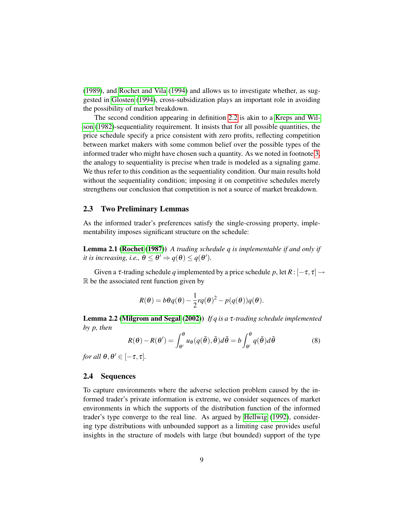[\(1989\)](#page-44-1), and [Rochet and Vila](#page-46-3) [\(1994\)](#page-46-3) and allows us to investigate whether, as suggested in [Glosten](#page-44-2) [\(1994\)](#page-44-2), cross-subsidization plays an important role in avoiding the possibility of market breakdown.

The second condition appearing in definition [2.2](#page-8-0) is akin to a [Kreps and Wil](#page-45-9)[son](#page-45-9) [\(1982\)](#page-45-9)-sequentiality requirement. It insists that for all possible quantities, the price schedule specify a price consistent with zero profits, reflecting competition between market makers with some common belief over the possible types of the informed trader who might have chosen such a quantity. As we noted in footnote [3,](#page-3-0) the analogy to sequentiality is precise when trade is modeled as a signaling game. We thus refer to this condition as the sequentiality condition. Our main results hold without the sequentiality condition; imposing it on competitive schedules merely strengthens our conclusion that competition is not a source of market breakdown.

#### 2.3 Two Preliminary Lemmas

As the informed trader's preferences satisfy the single-crossing property, implementability imposes significant structure on the schedule:

<span id="page-9-1"></span>Lemma 2.1 [\(Rochet](#page-46-4) [\(1987\)](#page-46-4)) *A trading schedule q is implementable if and only if it is increasing, i.e.,*  $\theta \leq \theta' \Rightarrow q(\theta) \leq q(\theta')$ .

Given a  $\tau$ -trading schedule *q* implemented by a price schedule *p*, let  $R: [-\tau, \tau] \rightarrow$  $\mathbb R$  be the associated rent function given by

$$
R(\theta) = b\theta q(\theta) - \frac{1}{2}rq(\theta)^{2} - p(q(\theta))q(\theta).
$$

<span id="page-9-2"></span>Lemma 2.2 [\(Milgrom and Segal](#page-45-10) [\(2002\)](#page-45-10)) *If q is a* τ*-trading schedule implemented by p, then*

<span id="page-9-3"></span>
$$
R(\theta) - R(\theta') = \int_{\theta'}^{\theta} u_{\theta}(q(\tilde{\theta}), \tilde{\theta}) d\tilde{\theta} = b \int_{\theta'}^{\theta} q(\tilde{\theta}) d\tilde{\theta}
$$
(8)

*for all*  $\theta, \theta' \in [-\tau, \tau]$ *.* 

#### <span id="page-9-0"></span>2.4 Sequences

To capture environments where the adverse selection problem caused by the informed trader's private information is extreme, we consider sequences of market environments in which the supports of the distribution function of the informed trader's type converge to the real line. As argued by [Hellwig](#page-44-4) [\(1992\)](#page-44-4), considering type distributions with unbounded support as a limiting case provides useful insights in the structure of models with large (but bounded) support of the type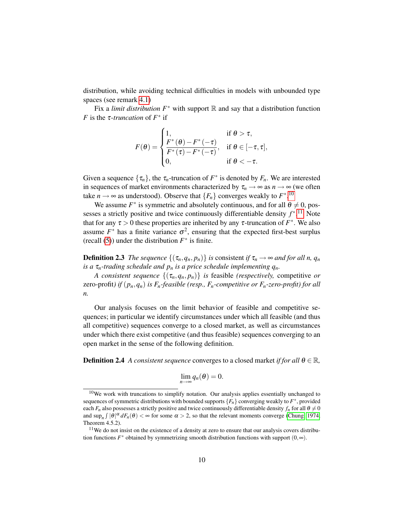distribution, while avoiding technical difficulties in models with unbounded type spaces (see remark [4.1\)](#page-19-0)

Fix a *limit distribution*  $F^*$  with support  $\mathbb R$  and say that a distribution function *F* is the  $\tau$ -*truncation* of  $F^*$  if

$$
F(\theta) = \begin{cases} 1, & \text{if } \theta > \tau, \\ \frac{F^*(\theta) - F^*(-\tau)}{F^*(\tau) - F^*(-\tau)}, & \text{if } \theta \in [-\tau, \tau], \\ 0, & \text{if } \theta < -\tau. \end{cases}
$$

Given a sequence  $\{\tau_n\}$ , the  $\tau_n$ -truncation of  $F^*$  is denoted by  $F_n$ . We are interested in sequences of market environments characterized by  $\tau_n \to \infty$  as  $n \to \infty$  (we often take  $n \to \infty$  as understood). Observe that  $\{F_n\}$  converges weakly to  $F^{*,10}$  $F^{*,10}$  $F^{*,10}$ 

We assume  $F^*$  is symmetric and absolutely continuous, and for all  $\theta \neq 0$ , possesses a strictly positive and twice continuously differentiable density  $f^*$ <sup>[11](#page-10-1)</sup> Note that for any  $\tau > 0$  these properties are inherited by any  $\tau$ -truncation of  $F^*$ . We also assume  $F^*$  has a finite variance  $\sigma^2$ , ensuring that the expected first-best surplus (recall [\(5\)](#page-6-4)) under the distribution  $F^*$  is finite.

**Definition 2.3** *The sequence*  $\{(\tau_n, q_n, p_n)\}$  *is* consistent *if*  $\tau_n \to \infty$  *and for all n, q<sub>n</sub> is a*  $\tau_n$ -trading schedule and  $p_n$  *is a price schedule implementing*  $q_n$ *.* 

*A consistent sequence*  $\{(\tau_n, q_n, p_n)\}$  *is feasible (respectively, competitive or* zero-profit) *if*  $(p_n, q_n)$  *is*  $F_n$ -feasible (resp.,  $F_n$ -competitive or  $F_n$ -zero-profit) for all *n.*

Our analysis focuses on the limit behavior of feasible and competitive sequences; in particular we identify circumstances under which all feasible (and thus all competitive) sequences converge to a closed market, as well as circumstances under which there exist competitive (and thus feasible) sequences converging to an open market in the sense of the following definition.

**Definition 2.4** *A consistent sequence* converges to a closed market *if for all*  $\theta \in \mathbb{R}$ *,* 

$$
\lim_{n\to\infty}q_n(\theta)=0.
$$

<span id="page-10-0"></span> $10$ We work with truncations to simplify notation. Our analysis applies essentially unchanged to sequences of symmetric distributions with bounded supports  $\{F_n\}$  converging weakly to  $F^*$ , provided each  $F_n$  also possesses a strictly positive and twice continuously differentiable density  $f_n$  for all  $\theta \neq 0$ and  $\sup_n \int |\theta|^{\alpha} dF_n(\theta) < \infty$  for some  $\alpha > 2$ , so that the relevant moments converge [\(Chung, 1974,](#page-44-10) Theorem 4.5.2).

<span id="page-10-1"></span> $11$ We do not insist on the existence of a density at zero to ensure that our analysis covers distribution functions  $F^*$  obtained by symmetrizing smooth distribution functions with support  $(0, \infty)$ .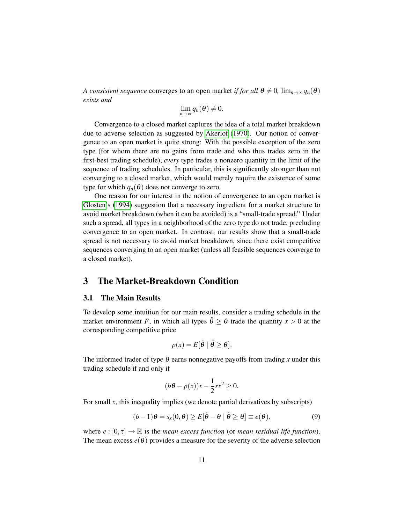*A consistent sequence* converges to an open market *if for all*  $\theta \neq 0$ ,  $\lim_{n\to\infty} q_n(\theta)$ *exists and*

$$
\lim_{n\to\infty}q_n(\theta)\neq 0.
$$

Convergence to a closed market captures the idea of a total market breakdown due to adverse selection as suggested by [Akerlof](#page-43-0) [\(1970\)](#page-43-0). Our notion of convergence to an open market is quite strong: With the possible exception of the zero type (for whom there are no gains from trade and who thus trades zero in the first-best trading schedule), *every* type trades a nonzero quantity in the limit of the sequence of trading schedules. In particular, this is significantly stronger than not converging to a closed market, which would merely require the existence of some type for which  $q_n(\theta)$  does not converge to zero.

One reason for our interest in the notion of convergence to an open market is [Glosten'](#page-44-2)s [\(1994\)](#page-44-2) suggestion that a necessary ingredient for a market structure to avoid market breakdown (when it can be avoided) is a "small-trade spread." Under such a spread, all types in a neighborhood of the zero type do not trade, precluding convergence to an open market. In contrast, our results show that a small-trade spread is not necessary to avoid market breakdown, since there exist competitive sequences converging to an open market (unless all feasible sequences converge to a closed market).

## 3 The Market-Breakdown Condition

#### 3.1 The Main Results

To develop some intuition for our main results, consider a trading schedule in the market environment *F*, in which all types  $\tilde{\theta} \ge \theta$  trade the quantity  $x > 0$  at the corresponding competitive price

$$
p(x) = E[\tilde{\theta} \mid \tilde{\theta} \ge \theta].
$$

The informed trader of type  $\theta$  earns nonnegative payoffs from trading *x* under this trading schedule if and only if

$$
(b\theta - p(x))x - \frac{1}{2}rx^2 \ge 0.
$$

For small *x*, this inequality implies (we denote partial derivatives by subscripts)

<span id="page-11-0"></span>
$$
(b-1)\theta = s_x(0,\theta) \ge E[\tilde{\theta} - \theta | \tilde{\theta} \ge \theta] \equiv e(\theta), \tag{9}
$$

where  $e : [0, \tau] \to \mathbb{R}$  is the *mean excess function* (or *mean residual life function*). The mean excess  $e(\theta)$  provides a measure for the severity of the adverse selection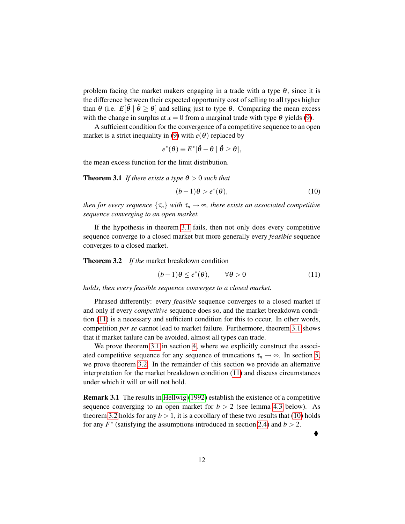problem facing the market makers engaging in a trade with a type  $\theta$ , since it is the difference between their expected opportunity cost of selling to all types higher than  $\theta$  (i.e.  $E[\tilde{\theta} | \tilde{\theta} \geq \theta]$  and selling just to type  $\theta$ . Comparing the mean excess with the change in surplus at  $x = 0$  from a marginal trade with type  $\theta$  yields [\(9\)](#page-11-0).

A sufficient condition for the convergence of a competitive sequence to an open market is a strict inequality in [\(9\)](#page-11-0) with  $e(\theta)$  replaced by

$$
e^*(\theta) \equiv E^*[\tilde{\theta} - \theta \mid \tilde{\theta} \geq \theta],
$$

<span id="page-12-0"></span>the mean excess function for the limit distribution.

**Theorem 3.1** *If there exists a type*  $\theta > 0$  *such that* 

<span id="page-12-3"></span>
$$
(b-1)\theta > e^*(\theta),\tag{10}
$$

*then for every sequence*  $\{\tau_n\}$  *with*  $\tau_n \to \infty$ *, there exists an associated competitive sequence converging to an open market.*

If the hypothesis in theorem [3.1](#page-12-0) fails, then not only does every competitive sequence converge to a closed market but more generally every *feasible* sequence converges to a closed market.

<span id="page-12-2"></span>Theorem 3.2 *If the* market breakdown condition

<span id="page-12-1"></span>
$$
(b-1)\theta \le e^*(\theta), \qquad \forall \theta > 0 \tag{11}
$$

*holds, then every feasible sequence converges to a closed market.*

Phrased differently: every *feasible* sequence converges to a closed market if and only if every *competitive* sequence does so, and the market breakdown condition [\(11\)](#page-12-1) is a necessary and sufficient condition for this to occur. In other words, competition *per se* cannot lead to market failure. Furthermore, theorem [3.1](#page-12-0) shows that if market failure can be avoided, almost all types can trade.

We prove theorem [3.1](#page-12-0) in section [4,](#page-16-0) where we explicitly construct the associated competitive sequence for any sequence of truncations  $\tau_n \to \infty$ . In section [5,](#page-26-0) we prove theorem [3.2.](#page-12-2) In the remainder of this section we provide an alternative interpretation for the market breakdown condition [\(11\)](#page-12-1) and discuss circumstances under which it will or will not hold.

<span id="page-12-4"></span>Remark 3.1 The results in [Hellwig](#page-44-4) [\(1992\)](#page-44-4) establish the existence of a competitive sequence converging to an open market for  $b > 2$  (see lemma [4.3](#page-18-0) below). As theorem [3.2](#page-12-2) holds for any  $b > 1$ , it is a corollary of these two results that [\(10\)](#page-12-3) holds for any  $F^*$  (satisfying the assumptions introduced in section [2.4\)](#page-9-0) and  $b > 2$ .

 $\blacklozenge$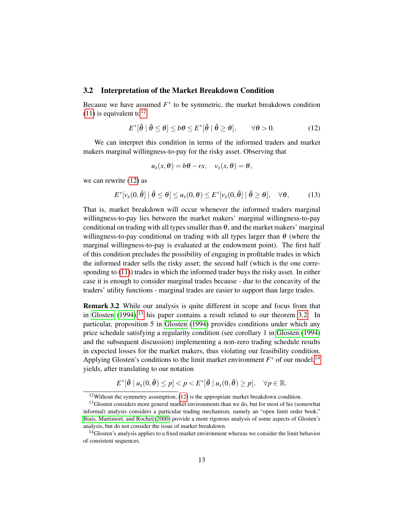#### 3.2 Interpretation of the Market Breakdown Condition

Because we have assumed  $F^*$  to be symmetric, the market breakdown condition  $(11)$  is equivalent to<sup>[12](#page-13-1)</sup>

<span id="page-13-2"></span>
$$
E^*[\tilde{\theta} \mid \tilde{\theta} \le \theta] \le b\theta \le E^*[\tilde{\theta} \mid \tilde{\theta} \ge \theta], \qquad \forall \theta > 0. \tag{12}
$$

We can interpret this condition in terms of the informed traders and market makers marginal willingness-to-pay for the risky asset. Observing that

$$
u_x(x,\theta) = b\theta - rx, \quad v_x(x,\theta) = \theta,
$$

we can rewrite [\(12\)](#page-13-2) as

<span id="page-13-5"></span>
$$
E^*[\nu_x(0,\tilde{\theta}) \mid \tilde{\theta} \leq \theta] \leq u_x(0,\theta) \leq E^*[\nu_x(0,\tilde{\theta}) \mid \tilde{\theta} \geq \theta], \quad \forall \theta, \quad (13)
$$

That is, market breakdown will occur whenever the informed traders marginal willingness-to-pay lies between the market makers' marginal willingness-to-pay conditional on trading with all types smaller than  $\theta$ , and the market makers' marginal willingness-to-pay conditional on trading with all types larger than  $\theta$  (where the marginal willingness-to-pay is evaluated at the endowment point). The first half of this condition precludes the possibility of engaging in profitable trades in which the informed trader sells the risky asset; the second half (which is the one corresponding to [\(11\)](#page-12-1)) trades in which the informed trader buys the risky asset. In either case it is enough to consider marginal trades because - due to the concavity of the traders' utility functions - marginal trades are easier to support than large trades.

<span id="page-13-0"></span>Remark 3.2 While our analysis is quite different in scope and focus from that in [Glosten](#page-44-2)  $(1994)$ ,<sup>[13](#page-13-3)</sup> his paper contains a result related to our theorem [3.2.](#page-12-2) In particular, proposition 5 in [Glosten](#page-44-2) [\(1994\)](#page-44-2) provides conditions under which any price schedule satisfying a regularity condition (see corollary 1 in [Glosten](#page-44-2) [\(1994\)](#page-44-2) and the subsequent discussion) implementing a non-zero trading schedule results in expected losses for the market makers, thus violating our feasibility condition. Applying Glosten's conditions to the limit market environment  $F^*$  of our model,<sup>[14](#page-13-4)</sup> yields, after translating to our notation

$$
E^*[\tilde{\theta} \mid u_x(0,\tilde{\theta}) \leq p] < p < E^*[\tilde{\theta} \mid u_x(0,\tilde{\theta}) \geq p], \quad \forall p \in \mathbb{R}.
$$

<span id="page-13-3"></span><span id="page-13-1"></span> $12$  Without the symmetry assumption, [\(12\)](#page-13-2) is the appropriate market breakdown condition.

<sup>&</sup>lt;sup>13</sup>Glosten considers more general market environments than we do, but for most of his (somewhat informal) analysis considers a particular trading mechanism, namely an "open limit order book." [Biais, Martimort, and Rochet](#page-44-3) [\(2000\)](#page-44-3) provide a more rigorous analysis of some aspects of Glosten's analysis, but do not consider the issue of market breakdown.

<span id="page-13-4"></span><sup>&</sup>lt;sup>14</sup>Glosten's analysis applies to a fixed market environment whereas we consider the limit behavior of consistent sequences.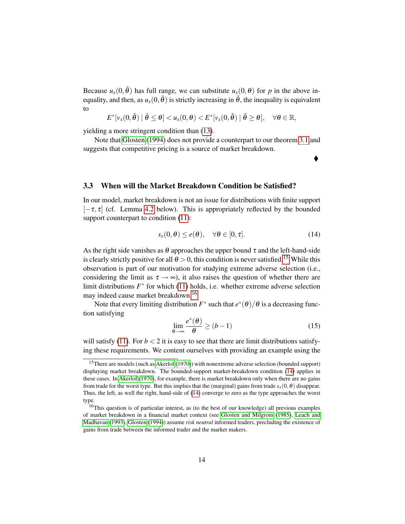Because  $u_x(0, \tilde{\theta})$  has full range, we can substitute  $u_x(0, \theta)$  for *p* in the above inequality, and then, as  $u_x(0,\tilde{\theta})$  is strictly increasing in  $\tilde{\theta}$ , the inequality is equivalent to

$$
E^*[\nu_x(0,\tilde{\theta}) \mid \tilde{\theta} \leq \theta] < u_x(0,\theta) < E^*[\nu_x(0,\tilde{\theta}) \mid \tilde{\theta} \geq \theta], \quad \forall \theta \in \mathbb{R},
$$

yielding a more stringent condition than [\(13\)](#page-13-5).

Note that [Glosten](#page-44-2) [\(1994\)](#page-44-2) does not provide a counterpart to our theorem [3.1](#page-12-0) and suggests that competitive pricing is a source of market breakdown.

#### 3.3 When will the Market Breakdown Condition be Satisfied?

In our model, market breakdown is not an issue for distributions with finite support  $[-\tau, \tau]$  (cf. Lemma [4.2](#page-17-0) below). This is appropriately reflected by the bounded support counterpart to condition  $(11)$ :

<span id="page-14-2"></span>
$$
s_x(0,\theta) \le e(\theta), \quad \forall \theta \in [0,\tau]. \tag{14}
$$

 $\blacklozenge$ 

As the right side vanishes as  $\theta$  approaches the upper bound  $\tau$  and the left-hand-side is clearly strictly positive for all  $\theta > 0$ , this condition is never satisfied.<sup>[15](#page-14-0)</sup> While this observation is part of our motivation for studying extreme adverse selection (i.e., considering the limit as  $\tau \rightarrow \infty$ ), it also raises the question of whether there are limit distributions  $F^*$  for which [\(11\)](#page-12-1) holds, i.e. whether extreme adverse selection may indeed cause market breakdown.<sup>[16](#page-14-1)</sup>

Note that every limiting distribution  $F^*$  such that  $e^*(\theta)/\theta$  is a decreasing function satisfying

<span id="page-14-3"></span>
$$
\lim_{\theta \to \infty} \frac{e^*(\theta)}{\theta} \ge (b-1)
$$
\n(15)

will satisfy [\(11\)](#page-12-1). For  $b < 2$  it is easy to see that there are limit distributions satisfying these requirements. We content ourselves with providing an example using the

<span id="page-14-0"></span><sup>&</sup>lt;sup>15</sup>There are models (such as [Akerlof](#page-43-0) [\(1970\)](#page-43-0)) with nonextreme adverse selection (bounded support) displaying market breakdown. The bounded-support market-breakdown condition [\(14\)](#page-14-2) applies in these cases. In [Akerlof](#page-43-0) [\(1970\)](#page-43-0), for example, there is market breakdown only when there are no gains from trade for the worst type. But this implies that the (marginal) gains from trade  $s_x(0, \theta)$  disappear. Thus, the left, as well the right, hand-side of [\(14\)](#page-14-2) converge to zero as the type approaches the worst type.

<span id="page-14-1"></span> $16$ This question is of particular interest, as (to the best of our knowledge) all previous examples of market breakdown in a financial market context (see [Glosten and Milgrom](#page-44-0) [\(1985\)](#page-44-0), [Leach and](#page-45-0) [Madhavan](#page-45-0) [\(1993\)](#page-45-0), [Glosten](#page-44-2) [\(1994\)](#page-44-2)) assume *risk neutral* informed traders, precluding the existence of gains from trade between the informed trader and the market makers.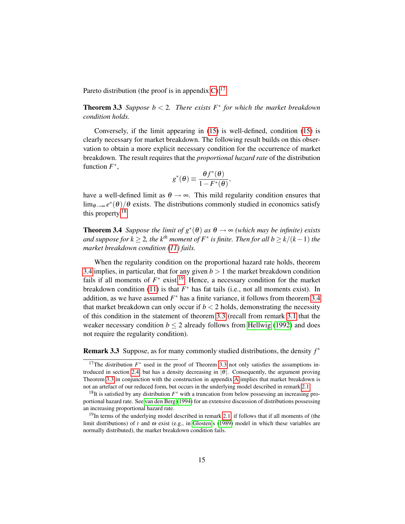<span id="page-15-4"></span>Pareto distribution (the proof is in appendix  $C$ ):<sup>[17](#page-15-0)</sup>

**Theorem 3.3** Suppose  $b < 2$ . There exists  $F^*$  for which the market breakdown *condition holds.*

Conversely, if the limit appearing in [\(15\)](#page-14-3) is well-defined, condition [\(15\)](#page-14-3) is clearly necessary for market breakdown. The following result builds on this observation to obtain a more explicit necessary condition for the occurrence of market breakdown. The result requires that the *proportional hazard rate* of the distribution function  $F^*$ ,

$$
g^*(\theta) \equiv \frac{\theta f^*(\theta)}{1 - F^*(\theta)},
$$

have a well-defined limit as  $\theta \rightarrow \infty$ . This mild regularity condition ensures that  $\lim_{\theta\to\infty}e^*(\theta)/\theta$  exists. The distributions commonly studied in economics satisfy this property.[18](#page-15-1)

<span id="page-15-2"></span>**Theorem 3.4** *Suppose the limit of*  $g^*(\theta)$  *as*  $\theta \to \infty$  *(which may be infinite) exists*  $\alpha$  *and suppose for k*  $\geq$  2, the k<sup>th</sup> moment of  $F^*$  is finite. Then for all b  $\geq$  k/(k - 1) the *market breakdown condition [\(11\)](#page-12-1) fails.*

When the regularity condition on the proportional hazard rate holds, theorem [3.4](#page-15-2) implies, in particular, that for any given  $b > 1$  the market breakdown condition fails if all moments of  $F^*$  exist.<sup>[19](#page-15-3)</sup> Hence, a necessary condition for the market breakdown condition [\(11\)](#page-12-1) is that  $F^*$  has fat tails (i.e., not all moments exist). In addition, as we have assumed  $F^*$  has a finite variance, it follows from theorem [3.4](#page-15-2) that market breakdown can only occur if  $b < 2$  holds, demonstrating the necessity of this condition in the statement of theorem [3.3](#page-15-4) (recall from remark [3.1](#page-12-4) that the weaker necessary condition  $b \leq 2$  already follows from [Hellwig](#page-44-4) [\(1992\)](#page-44-4) and does not require the regularity condition).

Remark 3.3 Suppose, as for many commonly studied distributions, the density *f* ∗

<span id="page-15-0"></span><sup>&</sup>lt;sup>17</sup>The distribution  $F^*$  used in the proof of Theorem [3.3](#page-15-4) not only satisfies the assumptions in-troduced in section [2.4,](#page-9-0) but has a density decreasing in  $|\theta|$ . Consequently, the argument proving Theorem [3.3](#page-15-4) in conjunction with the construction in appendix [A](#page-30-0) implies that market breakdown is not an artefact of our reduced form, but occurs in the underlying model described in remark [2.1.](#page-6-0)

<span id="page-15-1"></span><sup>&</sup>lt;sup>18</sup>It is satisfied by any distribution  $F^*$  with a truncation from below possessing an increasing proportional hazard rate. See [van den Berg](#page-46-5) [\(1994\)](#page-46-5) for an extensive discussion of distributions possessing an increasing proportional hazard rate.

<span id="page-15-3"></span><sup>&</sup>lt;sup>19</sup>In terms of the underlying model described in remark [2.1,](#page-6-0) if follows that if all moments of (the limit distributions) of *t* and ω exist (e.g., in [Glosten'](#page-44-1)s [\(1989\)](#page-44-1) model in which these variables are normally distributed), the market breakdown condition fails.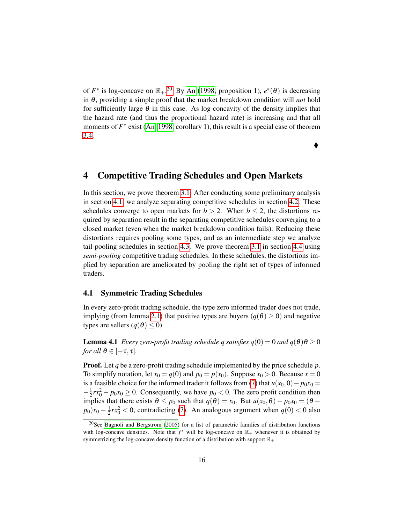of  $F^*$  is log-concave on  $\mathbb{R}_+$ .<sup>[20](#page-16-1)</sup> By [An](#page-43-3) [\(1998,](#page-43-3) proposition 1),  $e^*(\theta)$  is decreasing in θ, providing a simple proof that the market breakdown condition will *not* hold for sufficiently large  $\theta$  in this case. As log-concavity of the density implies that the hazard rate (and thus the proportional hazard rate) is increasing and that all moments of  $F^*$  exist [\(An, 1998,](#page-43-3) corollary 1), this result is a special case of theorem [3.4.](#page-15-2)

♦

## <span id="page-16-0"></span>4 Competitive Trading Schedules and Open Markets

In this section, we prove theorem [3.1.](#page-12-0) After conducting some preliminary analysis in section [4.1,](#page-16-2) we analyze separating competitive schedules in section [4.2.](#page-17-1) These schedules converge to open markets for  $b > 2$ . When  $b \le 2$ , the distortions required by separation result in the separating competitive schedules converging to a closed market (even when the market breakdown condition fails). Reducing these distortions requires pooling some types, and as an intermediate step we analyze tail-pooling schedules in section [4.3.](#page-20-0) We prove theorem [3.1](#page-12-0) in section [4.4](#page-23-0) using *semi-pooling* competitive trading schedules. In these schedules, the distortions implied by separation are ameliorated by pooling the right set of types of informed traders.

#### <span id="page-16-2"></span>4.1 Symmetric Trading Schedules

In every zero-profit trading schedule, the type zero informed trader does not trade, implying (from lemma [2.1\)](#page-9-1) that positive types are buyers ( $q(\theta) \ge 0$ ) and negative types are sellers ( $q(\theta) \leq 0$ ).

<span id="page-16-3"></span>**Lemma 4.1** *Every zero-profit trading schedule q satisfies*  $q(0) = 0$  *and*  $q(\theta) \theta \ge 0$ *for all*  $\theta \in [-\tau, \tau]$ *.* 

Proof. Let *q* be a zero-profit trading schedule implemented by the price schedule *p*. To simplify notation, let  $x_0 = q(0)$  and  $p_0 = p(x_0)$ . Suppose  $x_0 > 0$ . Because  $x = 0$ is a feasible choice for the informed trader it follows from [\(7\)](#page-7-2) that  $u(x_0,0) - p_0x_0 =$  $-\frac{1}{2}$  $\frac{1}{2}rx_0^2 - p_0x_0 \ge 0$ . Consequently, we have  $p_0 < 0$ . The zero profit condition then implies that there exists  $\theta \le p_0$  such that  $q(\theta) = x_0$ . But  $u(x_0, \theta) - p_0x_0 = (\theta - \theta_0)^2$  $p_0$ ) $x_0 - \frac{1}{2}$  $\frac{1}{2}rx_0^2 < 0$ , contradicting [\(7\)](#page-7-2). An analogous argument when  $q(0) < 0$  also

<span id="page-16-1"></span><sup>&</sup>lt;sup>20</sup>See [Bagnoli and Bergstrom](#page-43-4) [\(2005\)](#page-43-4) for a list of parametric families of distribution functions with log-concave densities. Note that  $f^*$  will be log-concave on  $\mathbb{R}_+$  whenever it is obtained by symmetrizing the log-concave density function of a distribution with support  $\mathbb{R}_+$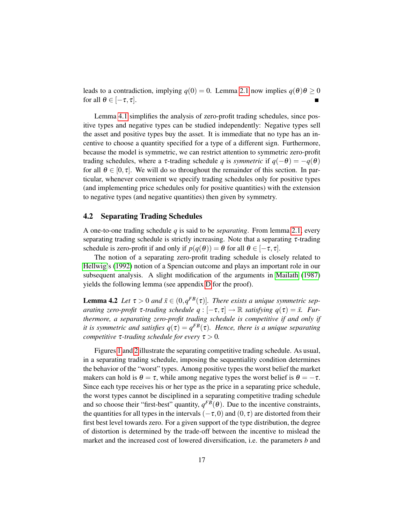leads to a contradiction, implying  $q(0) = 0$ . Lemma [2.1](#page-9-1) now implies  $q(\theta)\theta \ge 0$ for all  $\theta \in [-\tau, \tau]$ .  $\blacksquare$ 

Lemma [4.1](#page-16-3) simplifies the analysis of zero-profit trading schedules, since positive types and negative types can be studied independently: Negative types sell the asset and positive types buy the asset. It is immediate that no type has an incentive to choose a quantity specified for a type of a different sign. Furthermore, because the model is symmetric, we can restrict attention to symmetric zero-profit trading schedules, where a  $\tau$ -trading schedule *q* is *symmetric* if  $q(-\theta) = -q(\theta)$ for all  $\theta \in [0, \tau]$ . We will do so throughout the remainder of this section. In particular, whenever convenient we specify trading schedules only for positive types (and implementing price schedules only for positive quantities) with the extension to negative types (and negative quantities) then given by symmetry.

#### <span id="page-17-1"></span>4.2 Separating Trading Schedules

A one-to-one trading schedule *q* is said to be *separating*. From lemma [2.1,](#page-9-1) every separating trading schedule is strictly increasing. Note that a separating  $\tau$ -trading schedule is zero-profit if and only if  $p(q(\theta)) = \theta$  for all  $\theta \in [-\tau, \tau]$ .

The notion of a separating zero-profit trading schedule is closely related to [Hellwig'](#page-44-4)s [\(1992\)](#page-44-4) notion of a Spencian outcome and plays an important role in our subsequent analysis. A slight modification of the arguments in [Mailath](#page-45-11) [\(1987\)](#page-45-11) yields the following lemma (see appendix [D](#page-33-0) for the proof).

<span id="page-17-0"></span>**Lemma 4.2** Let  $\tau > 0$  and  $\bar{x} \in (0, q^{FB}(\tau))$ . There exists a unique symmetric sep*arating zero-profit*  $\tau$ -trading schedule  $q : [-\tau, \tau] \to \mathbb{R}$  *satisfying*  $q(\tau) = \bar{x}$ . Fur*thermore, a separating zero-profit trading schedule is competitive if and only if it is symmetric and satisfies*  $q(\tau) = q^{FB}(\tau)$ *. Hence, there is a unique separating competitive*  $\tau$ -trading schedule for every  $\tau > 0$ .

Figures [1](#page-18-1) and [2](#page-19-1) illustrate the separating competitive trading schedule. As usual, in a separating trading schedule, imposing the sequentiality condition determines the behavior of the "worst" types. Among positive types the worst belief the market makers can hold is  $\theta = \tau$ , while among negative types the worst belief is  $\theta = -\tau$ . Since each type receives his or her type as the price in a separating price schedule, the worst types cannot be disciplined in a separating competitive trading schedule and so choose their "first-best" quantity,  $q^{FB}(\theta)$ . Due to the incentive constraints, the quantities for all types in the intervals  $(-\tau,0)$  and  $(0,\tau)$  are distorted from their first best level towards zero. For a given support of the type distribution, the degree of distortion is determined by the trade-off between the incentive to mislead the market and the increased cost of lowered diversification, i.e. the parameters *b* and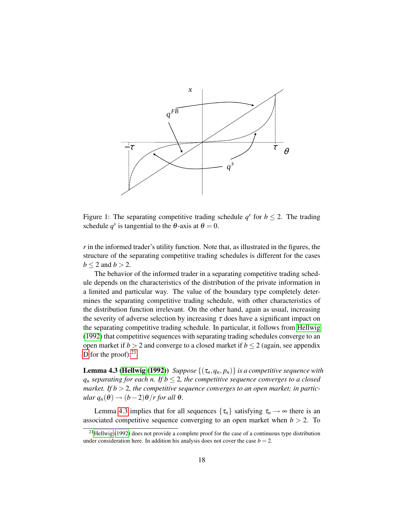

<span id="page-18-1"></span>Figure 1: The separating competitive trading schedule  $q^s$  for  $b \le 2$ . The trading schedule  $q^s$  is tangential to the  $\theta$ -axis at  $\theta = 0$ .

*r* in the informed trader's utility function. Note that, as illustrated in the figures, the structure of the separating competitive trading schedules is different for the cases  $b < 2$  and  $b > 2$ .

The behavior of the informed trader in a separating competitive trading schedule depends on the characteristics of the distribution of the private information in a limited and particular way. The value of the boundary type completely determines the separating competitive trading schedule, with other characteristics of the distribution function irrelevant. On the other hand, again as usual, increasing the severity of adverse selection by increasing  $\tau$  does have a significant impact on the separating competitive trading schedule. In particular, it follows from [Hellwig](#page-44-4) [\(1992\)](#page-44-4) that competitive sequences with separating trading schedules converge to an open market if  $b > 2$  and converge to a closed market if  $b \le 2$  (again, see appendix [D](#page-33-0) for the proof): $^{21}$  $^{21}$  $^{21}$ 

<span id="page-18-0"></span>**Lemma 4.3 [\(Hellwig](#page-44-4) [\(1992\)](#page-44-4))** *Suppose*  $\{(\tau_n, q_n, p_n)\}$  *is a competitive sequence with*  $q_n$  *separating for each n. If*  $b \leq 2$ *, the competitive sequence converges to a closed market. If b* > 2*, the competitive sequence converges to an open market; in particular*  $q_n(\theta) \rightarrow (b-2)\theta/r$  *for all*  $\theta$ *.* 

Lemma [4.3](#page-18-0) implies that for all sequences  $\{\tau_n\}$  satisfying  $\tau_n \to \infty$  there is an associated competitive sequence converging to an open market when  $b > 2$ . To

<span id="page-18-2"></span><sup>&</sup>lt;sup>21</sup>[Hellwig](#page-44-4) [\(1992\)](#page-44-4) does not provide a complete proof for the case of a continuous type distribution under consideration here. In addition his analysis does not cover the case  $b = 2$ .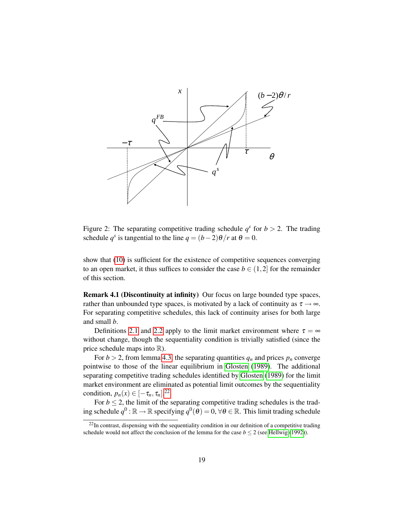

<span id="page-19-1"></span>Figure 2: The separating competitive trading schedule  $q^s$  for  $b > 2$ . The trading schedule  $q^s$  is tangential to the line  $q = (b-2)\theta/r$  at  $\theta = 0$ .

show that [\(10\)](#page-12-3) is sufficient for the existence of competitive sequences converging to an open market, it thus suffices to consider the case  $b \in (1,2]$  for the remainder of this section.

<span id="page-19-0"></span>Remark 4.1 (Discontinuity at infinity) Our focus on large bounded type spaces, rather than unbounded type spaces, is motivated by a lack of continuity as  $\tau \rightarrow \infty$ . For separating competitive schedules, this lack of continuity arises for both large and small *b*.

Definitions [2.1](#page-7-3) and [2.2](#page-8-0) apply to the limit market environment where  $\tau = \infty$ without change, though the sequentiality condition is trivially satisfied (since the price schedule maps into  $\mathbb{R}$ ).

For  $b > 2$ , from lemma [4.3,](#page-18-0) the separating quantities  $q_n$  and prices  $p_n$  converge pointwise to those of the linear equilibrium in [Glosten](#page-44-1) [\(1989\)](#page-44-1). The additional separating competitive trading schedules identified by [Glosten](#page-44-1) [\(1989\)](#page-44-1) for the limit market environment are eliminated as potential limit outcomes by the sequentiality condition,  $p_n(x) \in [-\tau_n, \tau_n]$ .<sup>[22](#page-19-2)</sup>

For  $b \le 2$ , the limit of the separating competitive trading schedules is the trading schedule  $q^0$  :  $\mathbb{R} \to \mathbb{R}$  specifying  $q^0(\theta) = 0$ ,  $\forall \theta \in \mathbb{R}$ . This limit trading schedule

<span id="page-19-2"></span> $22$ In contrast, dispensing with the sequentiality condition in our definition of a competitive trading schedule would not affect the conclusion of the lemma for the case  $b \le 2$  (see [Hellwig](#page-44-4) [\(1992\)](#page-44-4)).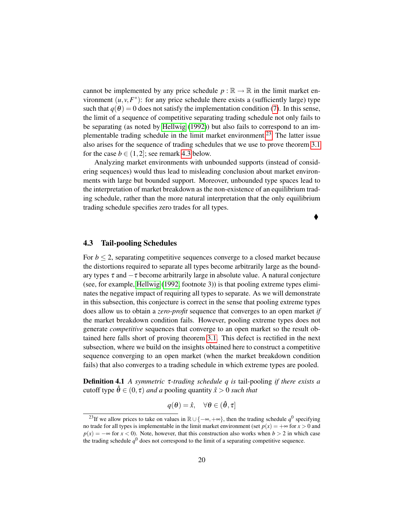cannot be implemented by any price schedule  $p : \mathbb{R} \to \mathbb{R}$  in the limit market environment  $(u, v, F^*)$ : for any price schedule there exists a (sufficiently large) type such that  $q(\theta) = 0$  does not satisfy the implementation condition [\(7\)](#page-7-2). In this sense, the limit of a sequence of competitive separating trading schedule not only fails to be separating (as noted by [Hellwig](#page-44-4) [\(1992\)](#page-44-4)) but also fails to correspond to an im-plementable trading schedule in the limit market environment.<sup>[23](#page-20-1)</sup> The latter issue also arises for the sequence of trading schedules that we use to prove theorem [3.1](#page-12-0) for the case  $b \in (1,2]$ ; see remark [4.3](#page-26-1) below.

Analyzing market environments with unbounded supports (instead of considering sequences) would thus lead to misleading conclusion about market environments with large but bounded support. Moreover, unbounded type spaces lead to the interpretation of market breakdown as the non-existence of an equilibrium trading schedule, rather than the more natural interpretation that the only equilibrium trading schedule specifies zero trades for all types.

## $\blacklozenge$

#### <span id="page-20-0"></span>4.3 Tail-pooling Schedules

For  $b \le 2$ , separating competitive sequences converge to a closed market because the distortions required to separate all types become arbitrarily large as the boundary types  $\tau$  and  $-\tau$  become arbitrarily large in absolute value. A natural conjecture (see, for example, [Hellwig](#page-44-4) [\(1992,](#page-44-4) footnote 3)) is that pooling extreme types eliminates the negative impact of requiring all types to separate. As we will demonstrate in this subsection, this conjecture is correct in the sense that pooling extreme types does allow us to obtain a *zero-profit* sequence that converges to an open market *if* the market breakdown condition fails. However, pooling extreme types does not generate *competitive* sequences that converge to an open market so the result obtained here falls short of proving theorem [3.1.](#page-12-0) This defect is rectified in the next subsection, where we build on the insights obtained here to construct a competitive sequence converging to an open market (when the market breakdown condition fails) that also converges to a trading schedule in which extreme types are pooled.

Definition 4.1 *A symmetric* τ*-trading schedule q is* tail-pooling *if there exists a* cutoff type  $\hat{\theta} \in (0, \tau)$  *and a* pooling quantity  $\hat{x} > 0$  *such that* 

$$
q(\boldsymbol{\theta}) = \hat{x}, \quad \forall \boldsymbol{\theta} \in (\hat{\boldsymbol{\theta}}, \tau]
$$

<span id="page-20-1"></span><sup>&</sup>lt;sup>23</sup>If we allow prices to take on values in  $\mathbb{R} \cup \{-\infty, +\infty\}$ , then the trading schedule  $q^0$  specifying no trade for all types is implementable in the limit market environment (set  $p(x) = +\infty$  for  $x > 0$  and  $p(x) = -\infty$  for  $x < 0$ ). Note, however, that this construction also works when  $b > 2$  in which case the trading schedule *q* <sup>0</sup> does not correspond to the limit of a separating competitive sequence.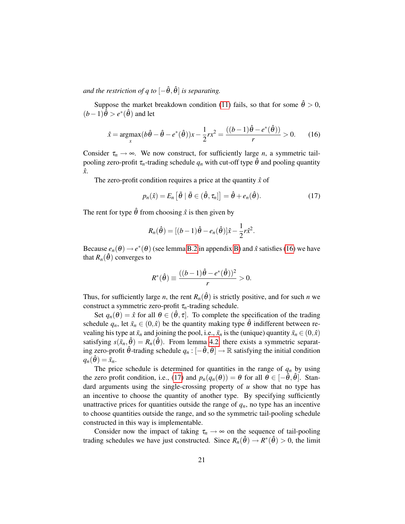*and the restriction of q to*  $\left[-\hat{\theta}, \hat{\theta}\right]$  *is separating.* 

Suppose the market breakdown condition [\(11\)](#page-12-1) fails, so that for some  $\hat{\theta} > 0$ ,  $(b-1)\hat{\theta} > e^*(\hat{\theta})$  and let

<span id="page-21-0"></span>
$$
\hat{x} = \underset{x}{\operatorname{argmax}} (b\hat{\theta} - \hat{\theta} - e^*(\hat{\theta}))x - \frac{1}{2}rx^2 = \frac{((b-1)\hat{\theta} - e^*(\hat{\theta}))}{r} > 0. \tag{16}
$$

Consider  $\tau_n \to \infty$ . We now construct, for sufficiently large *n*, a symmetric tailpooling zero-profit  $\tau_n$ -trading schedule  $q_n$  with cut-off type  $\hat{\theta}$  and pooling quantity *x*ˆ.

The zero-profit condition requires a price at the quantity  $\hat{x}$  of

<span id="page-21-1"></span>
$$
p_n(\hat{x}) = E_n \left[ \tilde{\theta} \mid \tilde{\theta} \in (\hat{\theta}, \tau_n] \right] = \hat{\theta} + e_n(\hat{\theta}). \tag{17}
$$

The rent for type  $\hat{\theta}$  from choosing  $\hat{x}$  is then given by

$$
R_n(\hat{\theta}) = [(b-1)\hat{\theta} - e_n(\hat{\theta})]\hat{x} - \frac{1}{2}r\hat{x}^2.
$$

Because  $e_n(\theta) \rightarrow e^*(\theta)$  (see lemma [B.2](#page-31-0) in appendix [B\)](#page-31-1) and  $\hat{x}$  satisfies [\(16\)](#page-21-0) we have that  $R_n(\hat{\theta})$  converges to

$$
R^*(\hat{\theta}) \equiv \frac{((b-1)\hat{\theta} - e^*(\hat{\theta}))^2}{r} > 0.
$$

Thus, for sufficiently large *n*, the rent  $R_n(\hat{\theta})$  is strictly positive, and for such *n* we construct a symmetric zero-profit τ*n*-trading schedule.

Set  $q_n(\theta) = \hat{x}$  for all  $\theta \in (\hat{\theta}, \tau]$ . To complete the specification of the trading schedule  $q_n$ , let  $\bar{x}_n \in (0,\hat{x})$  be the quantity making type  $\hat{\theta}$  indifferent between revealing his type at  $\bar{x}_n$  and joining the pool, i.e.,  $\bar{x}_n$  is the (unique) quantity  $\bar{x}_n \in (0,\hat{x})$ satisfying  $s(\bar{x}_n, \hat{\theta}) = R_n(\hat{\theta})$ . From lemma [4.2,](#page-17-0) there exists a symmetric separating zero-profit  $\hat{\theta}$ -trading schedule  $q_n : [-\hat{\theta}, \hat{\theta}] \rightarrow \mathbb{R}$  satisfying the initial condition  $q_n(\hat{\theta}) = \bar{x}_n$ .

The price schedule is determined for quantities in the range of  $q_n$  by using the zero profit condition, i.e., [\(17\)](#page-21-1) and  $p_n(q_n(\theta)) = \theta$  for all  $\theta \in [-\hat{\theta}, \hat{\theta}]$ . Standard arguments using the single-crossing property of *u* show that no type has an incentive to choose the quantity of another type. By specifying sufficiently unattractive prices for quantities outside the range of  $q_n$ , no type has an incentive to choose quantities outside the range, and so the symmetric tail-pooling schedule constructed in this way is implementable.

Consider now the impact of taking  $\tau_n \to \infty$  on the sequence of tail-pooling trading schedules we have just constructed. Since  $R_n(\hat{\theta}) \to R^*(\hat{\theta}) > 0$ , the limit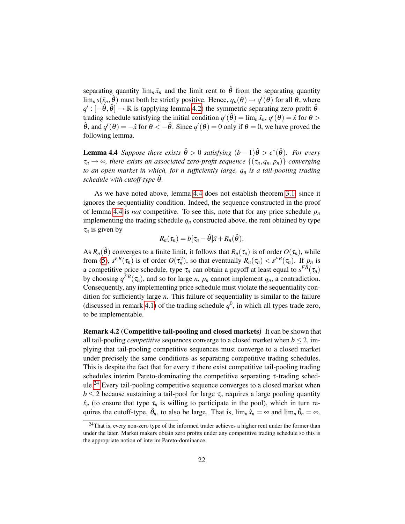separating quantity  $\lim_{n} \bar{x}_n$  and the limit rent to  $\hat{\theta}$  from the separating quantity  $\lim_{n} s(\bar{x}_n, \hat{\theta})$  must both be strictly positive. Hence,  $q_n(\theta) \to q^t(\theta)$  for all  $\theta$ , where  $q^t: [-\hat{\theta}, \hat{\theta}] \to \mathbb{R}$  is (applying lemma [4.2\)](#page-17-0) the symmetric separating zero-profit  $\hat{\theta}$ trading schedule satisfying the initial condition  $q^t(\hat{\theta}) = \lim_{n} \bar{x}_n$ ,  $q^t(\theta) = \hat{x}$  for  $\theta >$  $\hat{\theta}$ , and  $q^t(\theta) = -\hat{x}$  for  $\theta < -\hat{\theta}$ . Since  $q^t(\theta) = 0$  only if  $\theta = 0$ , we have proved the following lemma.

<span id="page-22-0"></span>**Lemma 4.4** Suppose there exists  $\hat{\theta} > 0$  satisfying  $(b-1)\hat{\theta} > e^*(\hat{\theta})$ . For every  $\tau_n \to \infty$ , there exists an associated zero-profit sequence  $\{(\tau_n, q_n, p_n)\}$  converging *to an open market in which, for n sufficiently large, q<sup>n</sup> is a tail-pooling trading schedule with cutoff-type*  $\hat{\theta}$ *.* 

As we have noted above, lemma [4.4](#page-22-0) does not establish theorem [3.1,](#page-12-0) since it ignores the sequentiality condition. Indeed, the sequence constructed in the proof of lemma [4.4](#page-22-0) is *not* competitive. To see this, note that for any price schedule  $p<sub>n</sub>$ implementing the trading schedule  $q_n$  constructed above, the rent obtained by type  $\tau_n$  is given by

$$
R_n(\tau_n) = b[\tau_n - \hat{\theta}]\hat{x} + R_n(\hat{\theta}).
$$

As  $R_n(\hat{\theta})$  converges to a finite limit, it follows that  $R_n(\tau_n)$  is of order  $O(\tau_n)$ , while from [\(5\)](#page-6-4),  $s^{FB}(\tau_n)$  is of order  $O(\tau_n^2)$ , so that eventually  $R_n(\tau_n) < s^{FB}(\tau_n)$ . If  $p_n$  is a competitive price schedule, type  $\tau_n$  can obtain a payoff at least equal to  $s^{FB}(\tau_n)$ by choosing  $q^{FB}(\tau_n)$ , and so for large *n*,  $p_n$  cannot implement  $q_n$ , a contradiction. Consequently, any implementing price schedule must violate the sequentiality condition for sufficiently large *n*. This failure of sequentiality is similar to the failure (discussed in remark [4.1\)](#page-19-0) of the trading schedule  $q^0$ , in which all types trade zero, to be implementable.

Remark 4.2 (Competitive tail-pooling and closed markets) It can be shown that all tail-pooling *competitive* sequences converge to a closed market when  $b \le 2$ , implying that tail-pooling competitive sequences must converge to a closed market under precisely the same conditions as separating competitive trading schedules. This is despite the fact that for every  $\tau$  there exist competitive tail-pooling trading schedules interim Pareto-dominating the competitive separating  $\tau$ -trading schedule.[24](#page-22-1) Every tail-pooling competitive sequence converges to a closed market when  $b \leq 2$  because sustaining a tail-pool for large  $\tau_n$  requires a large pooling quantity  $\hat{x}_n$  (to ensure that type  $\tau_n$  is willing to participate in the pool), which in turn requires the cutoff-type,  $\hat{\theta}_n$ , to also be large. That is,  $\lim_n \hat{x}_n = \infty$  and  $\lim_n \hat{\theta}_n = \infty$ .

<span id="page-22-1"></span><sup>&</sup>lt;sup>24</sup>That is, every non-zero type of the informed trader achieves a higher rent under the former than under the later. Market makers obtain zero profits under any competitive trading schedule so this is the appropriate notion of interim Pareto-dominance.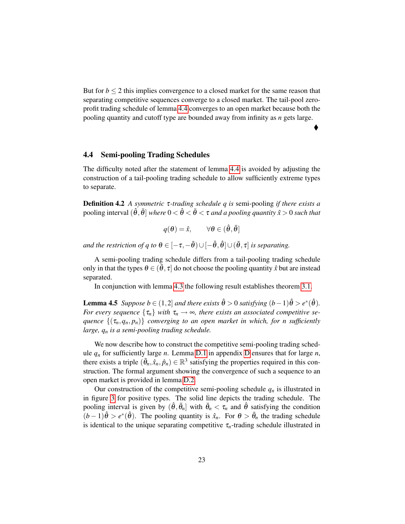But for  $b \leq 2$  this implies convergence to a closed market for the same reason that separating competitive sequences converge to a closed market. The tail-pool zeroprofit trading schedule of lemma [4.4](#page-22-0) converges to an open market because both the pooling quantity and cutoff type are bounded away from infinity as *n* gets large.

 $\blacklozenge$ 

#### <span id="page-23-0"></span>4.4 Semi-pooling Trading Schedules

The difficulty noted after the statement of lemma [4.4](#page-22-0) is avoided by adjusting the construction of a tail-pooling trading schedule to allow sufficiently extreme types to separate.

Definition 4.2 *A symmetric* τ*-trading schedule q is* semi-pooling *if there exists a* pooling interval  $(\hat{\theta}, \bar{\theta}]$  *where*  $0 < \hat{\theta} < \bar{\theta} < \tau$  *and a pooling quantity*  $\hat{x} > 0$  *such that* 

 $q(\theta) = \hat{x}$ ,  $\forall \theta \in (\hat{\theta}, \bar{\theta}]$ 

*and the restriction of q to*  $\theta \in [-\tau, -\bar{\theta}) \cup [-\hat{\theta}, \hat{\theta}] \cup (\bar{\theta}, \tau]$  *is separating.* 

A semi-pooling trading schedule differs from a tail-pooling trading schedule only in that the types  $\theta \in (\theta, \tau]$  do not choose the pooling quantity  $\hat{x}$  but are instead separated.

In conjunction with lemma [4.3](#page-18-0) the following result establishes theorem [3.1.](#page-12-0)

<span id="page-23-1"></span>**Lemma 4.5** *Suppose*  $b \in (1,2]$  *and there exists*  $\hat{\theta} > 0$  *satisfying*  $(b-1)\hat{\theta} > e^*(\hat{\theta})$ *. For every sequence*  $\{\tau_n\}$  *with*  $\tau_n \to \infty$ *, there exists an associated competitive sequence*  $\{(\tau_n, q_n, p_n)\}$  *converging to an open market in which, for n sufficiently large, q<sup>n</sup> is a semi-pooling trading schedule.*

We now describe how to construct the competitive semi-pooling trading schedule  $q_n$  for sufficiently large *n*. Lemma [D.1](#page-35-0) in appendix [D](#page-33-0) ensures that for large *n*, there exists a triple  $(\bar{\theta}_n, \hat{x}_n, \hat{p}_n) \in \mathbb{R}^3$  satisfying the properties required in this construction. The formal argument showing the convergence of such a sequence to an open market is provided in lemma [D.2.](#page-36-0)

Our construction of the competitive semi-pooling schedule  $q_n$  is illustrated in in figure [3](#page-25-0) for positive types. The solid line depicts the trading schedule. The pooling interval is given by  $(\hat{\theta}, \bar{\theta}_n]$  with  $\bar{\theta}_n < \tau_n$  and  $\hat{\theta}$  satisfying the condition  $(b-1)\hat{\theta} > e^*(\hat{\theta})$ . The pooling quantity is  $\hat{x}_n$ . For  $\theta > \bar{\theta}_n$  the trading schedule is identical to the unique separating competitive  $\tau_n$ -trading schedule illustrated in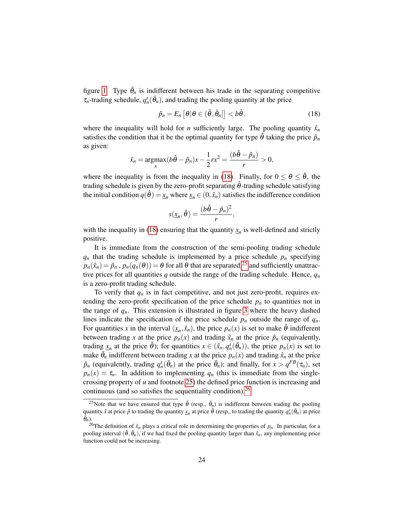figure [1.](#page-18-1) Type  $\bar{\theta}_n$  is indifferent between his trade in the separating competitive  $\tau_n$ -trading schedule,  $q_n^s(\bar{\theta}_n)$ , and trading the pooling quantity at the price

<span id="page-24-0"></span>
$$
\hat{p}_n = E_n \left[ \theta | \theta \in (\hat{\theta}, \bar{\theta}_n] \right] < b \hat{\theta}, \tag{18}
$$

where the inequality will hold for *n* sufficiently large. The pooling quantity  $\hat{x}_n$ satisfies the condition that it be the optimal quantity for type  $\hat{\theta}$  taking the price  $\hat{p}_n$ as given:

$$
\hat{x}_n = \underset{x}{\operatorname{argmax}} (b\hat{\theta} - \hat{p}_n)x - \frac{1}{2}rx^2 = \frac{(b\hat{\theta} - \hat{p}_n)}{r} > 0,
$$

where the inequality is from the inequality in [\(18\)](#page-24-0). Finally, for  $0 \le \theta \le \hat{\theta}$ , the trading schedule is given by the zero-profit separating  $\hat{\theta}$ -trading schedule satisfying the initial condition  $q(\hat{\theta}) = x_n$  where  $x_n \in (0, \hat{x}_n)$  satisfies the indifference condition

$$
s(\underline{x}_n, \hat{\boldsymbol{\theta}}) = \frac{(b\hat{\boldsymbol{\theta}} - \hat{p}_n)^2}{r},
$$

with the inequality in [\(18\)](#page-24-0) ensuring that the quantity  $x_n$  is well-defined and strictly positive.

It is immediate from the construction of the semi-pooling trading schedule  $q_n$  that the trading schedule is implemented by a price schedule  $p_n$  specifying  $p_n(\hat{x}_n) = \hat{p}_n$ ,  $p_n(q_n(\theta)) = \theta$  for all  $\theta$  that are separated,<sup>[25](#page-24-1)</sup> and sufficiently unattractive prices for all quantities  $q$  outside the range of the trading schedule. Hence,  $q_n$ is a zero-profit trading schedule.

To verify that  $q_n$  is in fact competitive, and not just zero-profit, requires extending the zero-profit specification of the price schedule  $p_n$  to quantities not in the range of  $q_n$ . This extension is illustrated in figure [3](#page-25-0) where the heavy dashed lines indicate the specification of the price schedule  $p_n$  outside the range of  $q_n$ . For quantities *x* in the interval  $(\underline{x}_n, \hat{x}_n)$ , the price  $p_n(x)$  is set to make  $\hat{\theta}$  indifferent between trading *x* at the price  $p_n(x)$  and trading  $\hat{x}_n$  at the price  $\hat{p}_n$  (equivalently, trading  $\underline{x}_n$  at the price  $\hat{\theta}$ ); for quantities  $x \in (\hat{x}_n, q_n^s(\bar{\theta}_n))$ , the price  $p_n(x)$  is set to make  $\bar{\theta}_n$  indifferent between trading *x* at the price  $p_n(x)$  and trading  $\hat{x}_n$  at the price  $\hat{p}_n$  (equivalently, trading  $q_n^s(\bar{\theta}_n)$  at the price  $\bar{\theta}_n$ ); and finally, for  $x > q^{FB}(\tau_n)$ , set  $p_n(x) = \tau_n$ . In addition to implementing  $q_n$  (this is immediate from the singlecrossing property of *u* and footnote [25\)](#page-24-1) the defined price function is increasing and continuous (and so satisfies the sequentiality condition).  $^{26}$  $^{26}$  $^{26}$ 

<span id="page-24-1"></span><sup>&</sup>lt;sup>25</sup>Note that we have ensured that type  $\hat{\theta}$  (resp.,  $\bar{\theta}_n$ ) is indifferent between trading the pooling quantity  $\hat{x}$  at price  $\hat{p}$  to trading the quantity  $\underline{x}_n$  at price  $\hat{\theta}$  (resp., to trading the quantity  $q_n^s(\bar{\theta}_n)$  at price  $\bar{\theta}_n$ ).

<span id="page-24-2"></span><sup>&</sup>lt;sup>26</sup>The definition of  $\hat{x}_n$  plays a critical role in determining the properties of  $p_n$ . In particular, for a pooling interval  $(\hat{\theta}, \bar{\theta}_n)$ , if we had fixed the pooling quantity larger than  $\hat{x}_n$ , any implementing price function could not be increasing.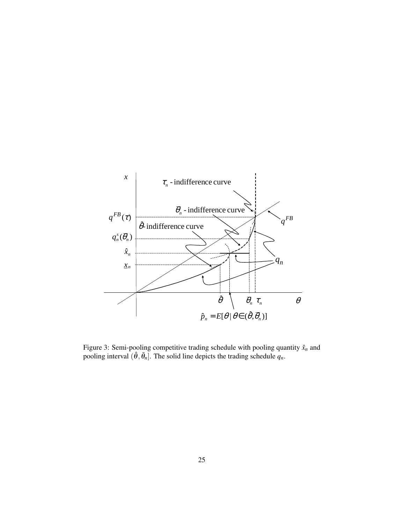

<span id="page-25-0"></span>Figure 3: Semi-pooling competitive trading schedule with pooling quantity  $\hat{x}_n$  and pooling interval  $(\hat{\theta}, \bar{\theta}_n]$ . The solid line depicts the trading schedule  $q_n$ .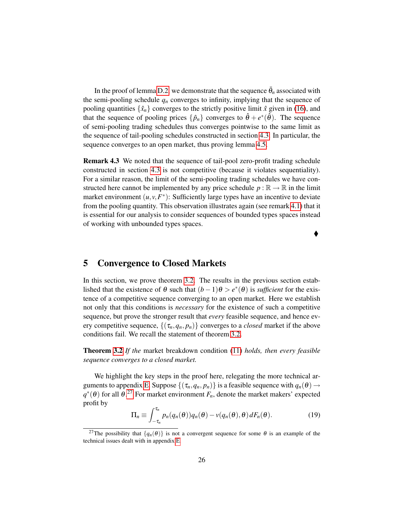In the proof of lemma [D.2,](#page-36-0) we demonstrate that the sequence  $\bar{\theta}_n$  associated with the semi-pooling schedule  $q_n$  converges to infinity, implying that the sequence of pooling quantities  $\{\hat{x}_n\}$  converges to the strictly positive limit  $\hat{x}$  given in [\(16\)](#page-21-0), and that the sequence of pooling prices  $\{\hat{p}_n\}$  converges to  $\hat{\theta} + e^*(\hat{\theta})$ . The sequence of semi-pooling trading schedules thus converges pointwise to the same limit as the sequence of tail-pooling schedules constructed in section [4.3.](#page-20-0) In particular, the sequence converges to an open market, thus proving lemma [4.5.](#page-23-1)

<span id="page-26-1"></span>Remark 4.3 We noted that the sequence of tail-pool zero-profit trading schedule constructed in section [4.3](#page-20-0) is not competitive (because it violates sequentiality). For a similar reason, the limit of the semi-pooling trading schedules we have constructed here cannot be implemented by any price schedule  $p : \mathbb{R} \to \mathbb{R}$  in the limit market environment  $(u, v, F^*)$ : Sufficiently large types have an incentive to deviate from the pooling quantity. This observation illustrates again (see remark [4.1\)](#page-19-0) that it is essential for our analysis to consider sequences of bounded types spaces instead of working with unbounded types spaces.

 $\blacklozenge$ 

## <span id="page-26-0"></span>5 Convergence to Closed Markets

In this section, we prove theorem [3.2.](#page-12-2) The results in the previous section established that the existence of  $\theta$  such that  $(b-1)\theta > e^*(\theta)$  is *sufficient* for the existence of a competitive sequence converging to an open market. Here we establish not only that this conditions is *necessary* for the existence of such a competitive sequence, but prove the stronger result that *every* feasible sequence, and hence every competitive sequence,  $\{(\tau_n, q_n, p_n)\}$  converges to a *closed* market if the above conditions fail. We recall the statement of theorem [3.2.](#page-12-2)

Theorem [3.2](#page-12-2) *If the* market breakdown condition [\(11\)](#page-12-1) *holds, then every feasible sequence converges to a closed market.*

We highlight the key steps in the proof here, relegating the more technical ar-guments to appendix [E.](#page-37-0) Suppose  $\{(\tau_n, q_n, p_n)\}$  is a feasible sequence with  $q_n(\theta) \rightarrow$  $q^*(\theta)$  for all  $\theta$ <sup>[27](#page-26-2)</sup> For market environment  $F_n$ , denote the market makers' expected profit by

<span id="page-26-3"></span>
$$
\Pi_n \equiv \int_{-\tau_n}^{\tau_n} p_n(q_n(\theta)) q_n(\theta) - v(q_n(\theta), \theta) dF_n(\theta).
$$
 (19)

<span id="page-26-2"></span><sup>&</sup>lt;sup>27</sup>The possibility that  $\{q_n(\theta)\}\$ is not a convergent sequence for some  $\theta$  is an example of the technical issues dealt with in appendix [E.](#page-37-0)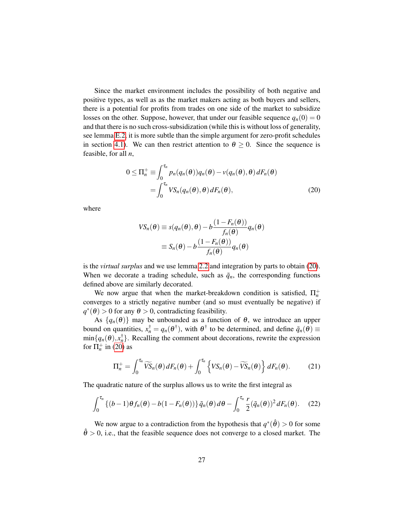Since the market environment includes the possibility of both negative and positive types, as well as as the market makers acting as both buyers and sellers, there is a potential for profits from trades on one side of the market to subsidize losses on the other. Suppose, however, that under our feasible sequence  $q_n(0) = 0$ and that there is no such cross-subsidization (while this is without loss of generality, see lemma [E.2,](#page-39-0) it is more subtle than the simple argument for zero-profit schedules in section [4.1\)](#page-16-2). We can then restrict attention to  $\theta \ge 0$ . Since the sequence is feasible, for all *n*,

$$
0 \le \Pi_n^+ \equiv \int_0^{\tau_n} p_n(q_n(\theta)) q_n(\theta) - v(q_n(\theta), \theta) dF_n(\theta)
$$
  
= 
$$
\int_0^{\tau_n} VS_n(q_n(\theta), \theta) dF_n(\theta),
$$
 (20)

where

<span id="page-27-0"></span>
$$
VS_n(\theta) \equiv s(q_n(\theta), \theta) - b \frac{(1 - F_n(\theta))}{f_n(\theta)} q_n(\theta)
$$

$$
\equiv S_n(\theta) - b \frac{(1 - F_n(\theta))}{f_n(\theta)} q_n(\theta)
$$

is the *virtual surplus* and we use lemma [2.2](#page-9-2) and integration by parts to obtain [\(20\)](#page-27-0). When we decorate a trading schedule, such as  $\tilde{q}_n$ , the corresponding functions defined above are similarly decorated.

We now argue that when the market-breakdown condition is satisfied,  $\Pi_n^+$ converges to a strictly negative number (and so must eventually be negative) if  $q^*(\theta) > 0$  for any  $\theta > 0$ , contradicting feasibility.

As  $\{q_n(\theta)\}\$  may be unbounded as a function of  $\theta$ , we introduce an upper bound on quantities,  $x_n^{\dagger} = q_n(\theta^{\dagger})$ , with  $\theta^{\dagger}$  to be determined, and define  $\tilde{q}_n(\theta) \equiv$  $\min\{q_n(\theta), x_n^{\dagger}\}.$  Recalling the comment about decorations, rewrite the expression for  $\Pi_n^+$  in [\(20\)](#page-27-0) as

<span id="page-27-2"></span>
$$
\Pi_n^+ = \int_0^{\tau_n} \widetilde{VS}_n(\theta) dF_n(\theta) + \int_0^{\tau_n} \left\{ VS_n(\theta) - \widetilde{VS}_n(\theta) \right\} dF_n(\theta).
$$
 (21)

The quadratic nature of the surplus allows us to write the first integral as

<span id="page-27-1"></span>
$$
\int_0^{\tau_n} \left\{ (b-1)\theta f_n(\theta) - b(1 - F_n(\theta)) \right\} \tilde{q}_n(\theta) d\theta - \int_0^{\tau_n} \frac{r}{2} (\tilde{q}_n(\theta))^2 dF_n(\theta). \tag{22}
$$

We now argue to a contradiction from the hypothesis that  $q^*(\hat{\theta}) > 0$  for some  $\hat{\theta} > 0$ , i.e., that the feasible sequence does not converge to a closed market. The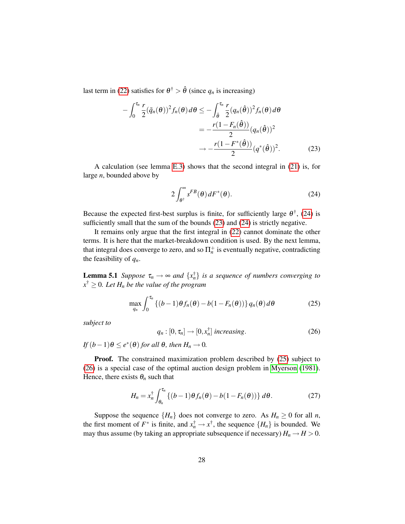last term in [\(22\)](#page-27-1) satisfies for  $\theta^{\dagger} > \hat{\theta}$  (since  $q_n$  is increasing)

$$
-\int_0^{\tau_n} \frac{r}{2} (\tilde{q}_n(\theta))^2 f_n(\theta) d\theta \le -\int_{\hat{\theta}}^{\tau_n} \frac{r}{2} (q_n(\hat{\theta}))^2 f_n(\theta) d\theta
$$
  

$$
= -\frac{r(1 - F_n(\hat{\theta}))}{2} (q_n(\hat{\theta}))^2
$$
  

$$
\to -\frac{r(1 - F^*(\hat{\theta}))}{2} (q^*(\hat{\theta}))^2.
$$
 (23)

A calculation (see lemma [E.3\)](#page-42-0) shows that the second integral in [\(21\)](#page-27-2) is, for large *n*, bounded above by

<span id="page-28-1"></span><span id="page-28-0"></span>
$$
2\int_{\theta^{\dagger}}^{\infty} s^{FB}(\theta) dF^*(\theta). \tag{24}
$$

Because the expected first-best surplus is finite, for sufficiently large  $\theta^{\dagger}$ , [\(24\)](#page-28-0) is sufficiently small that the sum of the bounds [\(23\)](#page-28-1) and [\(24\)](#page-28-0) is strictly negative.

It remains only argue that the first integral in [\(22\)](#page-27-1) cannot dominate the other terms. It is here that the market-breakdown condition is used. By the next lemma, that integral does converge to zero, and so  $\Pi_n^+$  is eventually negative, contradicting the feasibility of *qn*.

<span id="page-28-5"></span>**Lemma 5.1** *Suppose*  $\tau_n \to \infty$  *and*  $\{x_n^{\dagger}\}\$  *is a sequence of numbers converging to*  $x^{\dagger} \geq 0$ *. Let*  $H_n$  *be the value of the program* 

<span id="page-28-2"></span>
$$
\max_{q_n} \int_0^{\tau_n} \left\{ (b-1)\theta f_n(\theta) - b(1 - F_n(\theta)) \right\} q_n(\theta) d\theta \tag{25}
$$

*subject to*

<span id="page-28-3"></span>
$$
q_n : [0, \tau_n] \to [0, x_n^{\dagger}] \text{ increasing.}
$$
 (26)

 $\int f(b-1)\theta \leq e^*(\theta)$  *for all*  $\theta$ *, then*  $H_n \to 0$ *.* 

Proof. The constrained maximization problem described by [\(25\)](#page-28-2) subject to [\(26\)](#page-28-3) is a special case of the optimal auction design problem in [Myerson](#page-45-12) [\(1981\)](#page-45-12). Hence, there exists  $\theta_n$  such that

<span id="page-28-4"></span>
$$
H_n = x_n^{\dagger} \int_{\theta_n}^{\tau_n} \left\{ (b-1)\theta f_n(\theta) - b(1 - F_n(\theta)) \right\} d\theta. \tag{27}
$$

Suppose the sequence  ${H_n}$  does not converge to zero. As  $H_n \geq 0$  for all *n*, the first moment of  $F^*$  is finite, and  $x_n^{\dagger} \to x^{\dagger}$ , the sequence  $\{H_n\}$  is bounded. We may thus assume (by taking an appropriate subsequence if necessary)  $H_n \to H > 0$ .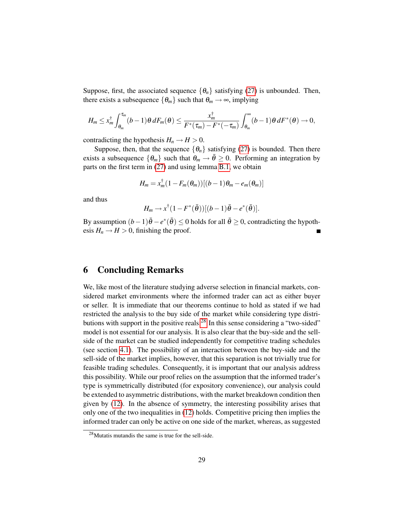Suppose, first, the associated sequence  $\{\theta_n\}$  satisfying [\(27\)](#page-28-4) is unbounded. Then, there exists a subsequence  $\{\theta_m\}$  such that  $\theta_m \rightarrow \infty$ , implying

$$
H_m\leq x_m^{\dagger}\int_{\theta_m}^{\tau_m}(b-1)\theta\,dF_m(\theta)\leq \frac{x_m^{\dagger}}{F^*(\tau_m)-F^*(-\tau_m)}\int_{\theta_m}^{\infty}(b-1)\theta\,dF^*(\theta)\to 0,
$$

contradicting the hypothesis  $H_n \to H > 0$ .

Suppose, then, that the sequence  $\{\theta_n\}$  satisfying [\(27\)](#page-28-4) is bounded. Then there exists a subsequence  $\{\theta_m\}$  such that  $\theta_m \to \bar{\theta} \geq 0$ . Performing an integration by parts on the first term in [\(27\)](#page-28-4) and using lemma [B.1,](#page-31-2) we obtain

$$
H_m = x_m^{\dagger} (1 - F_m(\theta_m)) [(b-1)\theta_m - e_m(\theta_m)]
$$

and thus

$$
H_m \to x^{\dagger} (1 - F^*(\bar{\theta}))[(b-1)\bar{\theta} - e^*(\bar{\theta})].
$$

By assumption  $(b-1)\bar{\theta} - e^*(\bar{\theta}) \le 0$  holds for all  $\bar{\theta} \ge 0$ , contradicting the hypothesis  $H_n \to H > 0$ , finishing the proof.

## <span id="page-29-0"></span>6 Concluding Remarks

We, like most of the literature studying adverse selection in financial markets, considered market environments where the informed trader can act as either buyer or seller. It is immediate that our theorems continue to hold as stated if we had restricted the analysis to the buy side of the market while considering type distri-butions with support in the positive reals.<sup>[28](#page-29-1)</sup> In this sense considering a "two-sided" model is not essential for our analysis. It is also clear that the buy-side and the sellside of the market can be studied independently for competitive trading schedules (see section [4.1\)](#page-16-2). The possibility of an interaction between the buy-side and the sell-side of the market implies, however, that this separation is not trivially true for feasible trading schedules. Consequently, it is important that our analysis address this possibility. While our proof relies on the assumption that the informed trader's type is symmetrically distributed (for expository convenience), our analysis could be extended to asymmetric distributions, with the market breakdown condition then given by [\(12\)](#page-13-2). In the absence of symmetry, the interesting possibility arises that only one of the two inequalities in [\(12\)](#page-13-2) holds. Competitive pricing then implies the informed trader can only be active on one side of the market, whereas, as suggested

<span id="page-29-1"></span><sup>28</sup>Mutatis mutandis the same is true for the sell-side.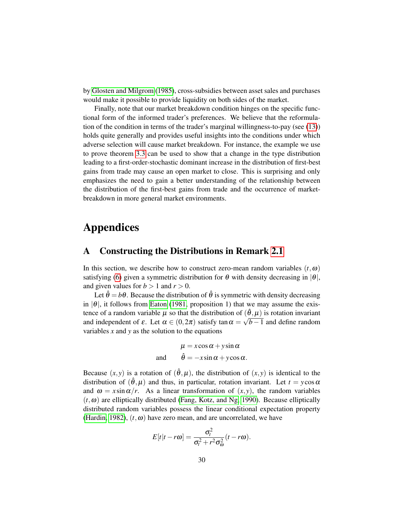by [Glosten and Milgrom](#page-44-0) [\(1985\)](#page-44-0), cross-subsidies between asset sales and purchases would make it possible to provide liquidity on both sides of the market.

Finally, note that our market breakdown condition hinges on the specific functional form of the informed trader's preferences. We believe that the reformulation of the condition in terms of the trader's marginal willingness-to-pay (see [\(13\)](#page-13-5)) holds quite generally and provides useful insights into the conditions under which adverse selection will cause market breakdown. For instance, the example we use to prove theorem [3.3](#page-15-4) can be used to show that a change in the type distribution leading to a first-order-stochastic dominant increase in the distribution of first-best gains from trade may cause an open market to close. This is surprising and only emphasizes the need to gain a better understanding of the relationship between the distribution of the first-best gains from trade and the occurrence of marketbreakdown in more general market environments.

# Appendices

## <span id="page-30-0"></span>A Constructing the Distributions in Remark [2.1](#page-6-0)

In this section, we describe how to construct zero-mean random variables  $(t, \omega)$ satisfying [\(6\)](#page-7-1) given a symmetric distribution for  $\theta$  with density decreasing in  $|\theta|$ , and given values for  $b > 1$  and  $r > 0$ .

Let  $\hat{\theta} = b\theta$ . Because the distribution of  $\hat{\theta}$  is symmetric with density decreasing in  $|\theta|$ , it follows from [Eaton](#page-44-11) [\(1981,](#page-44-11) proposition 1) that we may assume the existence of a random variable  $\mu$  so that the distribution of  $(\hat{\theta}, \mu)$  is rotation invariant and independent of  $\varepsilon$ . Let  $\alpha \in (0, 2\pi)$  satisfy tan  $\alpha = \sqrt{b-1}$  and define random variables *x* and *y* as the solution to the equations

$$
\mu = x\cos\alpha + y\sin\alpha
$$
  
and 
$$
\hat{\theta} = -x\sin\alpha + y\cos\alpha.
$$

Because  $(x, y)$  is a rotation of  $(\hat{\theta}, \mu)$ , the distribution of  $(x, y)$  is identical to the distribution of  $(\hat{\theta}, \mu)$  and thus, in particular, rotation invariant. Let  $t = y \cos \alpha$ and  $\omega = x \sin \alpha / r$ . As a linear transformation of  $(x, y)$ , the random variables  $(t, \omega)$  are elliptically distributed [\(Fang, Kotz, and Ng, 1990\)](#page-44-12). Because elliptically distributed random variables possess the linear conditional expectation property [\(Hardin, 1982\)](#page-44-13),  $(t, \omega)$  have zero mean, and are uncorrelated, we have

$$
E[t|t-r\omega] = \frac{\sigma_t^2}{\sigma_t^2 + r^2 \sigma_\omega^2} (t-r\omega).
$$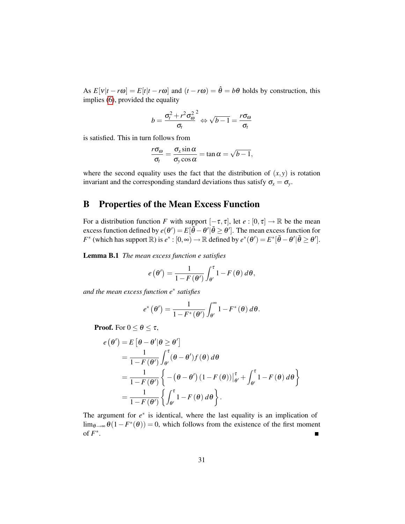As  $E[v|t - r\omega] = E[t|t - r\omega]$  and  $(t - r\omega) = \hat{\theta} = b\theta$  holds by construction, this implies [\(6\)](#page-7-1), provided the equality

$$
b = \frac{\sigma_t^2 + r^2 \sigma_\omega^2}{\sigma_t} \Leftrightarrow \sqrt{b-1} = \frac{r \sigma_\omega}{\sigma_t}
$$

is satisfied. This in turn follows from

$$
\frac{r\sigma_{\omega}}{\sigma_t} = \frac{\sigma_x \sin \alpha}{\sigma_y \cos \alpha} = \tan \alpha = \sqrt{b-1},
$$

where the second equality uses the fact that the distribution of  $(x, y)$  is rotation invariant and the corresponding standard deviations thus satisfy  $\sigma_x = \sigma_y$ .

## <span id="page-31-1"></span>B Properties of the Mean Excess Function

For a distribution function *F* with support  $[-\tau, \tau]$ , let  $e : [0, \tau] \to \mathbb{R}$  be the mean excess function defined by  $e(\theta') = E[\tilde{\theta} - \theta' | \tilde{\theta} \ge \theta']$ . The mean excess function for *F*<sup>\*</sup> (which has support  $\mathbb{R}$ ) is  $e^* : [0, \infty) \to \mathbb{R}$  defined by  $e^*(\theta') = E^*[\tilde{\theta} - \theta' | \tilde{\theta} \ge \theta']$ .

<span id="page-31-2"></span>Lemma B.1 *The mean excess function e satisfies*

$$
e(\theta') = \frac{1}{1 - F(\theta')} \int_{\theta'}^{\tau} 1 - F(\theta) d\theta,
$$

*and the mean excess function e*<sup>∗</sup> *satisfies*

$$
e^*\left(\theta'\right)=\frac{1}{1-F^*(\theta')}\int_{\theta'}^{\infty}1-F^*(\theta)\,d\theta.
$$

**Proof.** For  $0 \le \theta \le \tau$ ,

$$
e(\theta') = E[\theta - \theta' | \theta \ge \theta']
$$
  
= 
$$
\frac{1}{1 - F(\theta')} \int_{\theta'}^{\tau} (\theta - \theta') f(\theta) d\theta
$$
  
= 
$$
\frac{1}{1 - F(\theta')} \left\{ -(\theta - \theta') (1 - F(\theta)) \Big|_{\theta'}^{\tau} + \int_{\theta'}^{\tau} 1 - F(\theta) d\theta \right\}
$$
  
= 
$$
\frac{1}{1 - F(\theta')} \left\{ \int_{\theta'}^{\tau} 1 - F(\theta) d\theta \right\}.
$$

<span id="page-31-0"></span>The argument for  $e^*$  is identical, where the last equality is an implication of lim<sub> $θ\rightarrow ∞$   $\theta(1 - F^*(\theta)) = 0$ , which follows from the existence of the first momentof *F* ∗ .  $\blacksquare$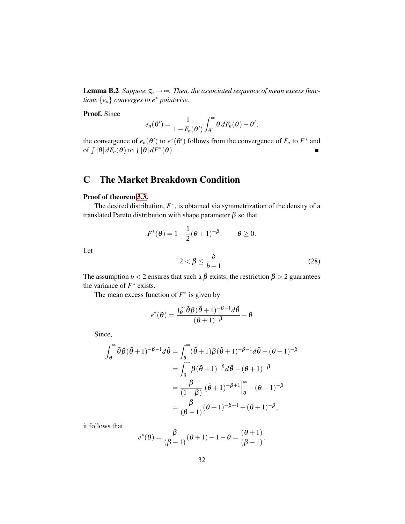**Lemma B.2** *Suppose*  $\tau_n \to \infty$ *. Then, the associated sequence of mean excess functions* {*en*} *converges to e*<sup>∗</sup> *pointwise.*

Proof. Since

$$
e_n(\theta')=\frac{1}{1-F_n(\theta')}\int_{\theta'}^{\infty}\theta\,dF_n(\theta)-\theta',
$$

the convergence of  $e_n(\theta')$  to  $e^*(\theta')$  follows from the convergence of  $F_n$  to  $F^*$  and of  $\int |\theta| dF_n(\theta)$  to  $\int |\theta| dF^*(\theta)$ .  $\blacksquare$ 

# <span id="page-32-0"></span>C The Market Breakdown Condition

#### Proof of theorem [3.3.](#page-15-4)

The desired distribution,  $F^*$ , is obtained via symmetrization of the density of a translated Pareto distribution with shape parameter β so that

$$
F^*(\theta) = 1 - \frac{1}{2}(\theta + 1)^{-\beta}, \qquad \theta \ge 0.
$$
  

$$
2 < \beta \le \frac{b}{b-1}.
$$
 (28)

Let

The assumption 
$$
b < 2
$$
 ensures that such a  $\beta$  exists; the restriction  $\beta > 2$  guarantees the variance of  $F^*$  exists.

<span id="page-32-1"></span>*b*−1

The mean excess function of  $F^*$  is given by

$$
e^*(\theta) = \frac{\int_{\theta}^{\infty} \tilde{\theta} \beta (\tilde{\theta} + 1)^{-\beta - 1} d\tilde{\theta}}{(\theta + 1)^{-\beta}} - \theta
$$

Since,

$$
\int_{\theta}^{\infty} \tilde{\theta} \beta (\tilde{\theta} + 1)^{-\beta - 1} d\tilde{\theta} = \int_{\theta}^{\infty} (\tilde{\theta} + 1) \beta (\tilde{\theta} + 1)^{-\beta - 1} d\tilde{\theta} - (\theta + 1)^{-\beta}
$$

$$
= \int_{\theta}^{\infty} \beta (\tilde{\theta} + 1)^{-\beta} d\tilde{\theta} - (\theta + 1)^{-\beta}
$$

$$
= \frac{\beta}{(1 - \beta)} (\tilde{\theta} + 1)^{-\beta + 1} \Big|_{\theta}^{\infty} - (\theta + 1)^{-\beta}
$$

$$
= \frac{\beta}{(\beta - 1)} (\theta + 1)^{-\beta + 1} - (\theta + 1)^{-\beta},
$$

it follows that

$$
e^*(\theta) = \frac{\beta}{(\beta - 1)}(\theta + 1) - 1 - \theta = \frac{(\theta + 1)}{(\beta - 1)}.
$$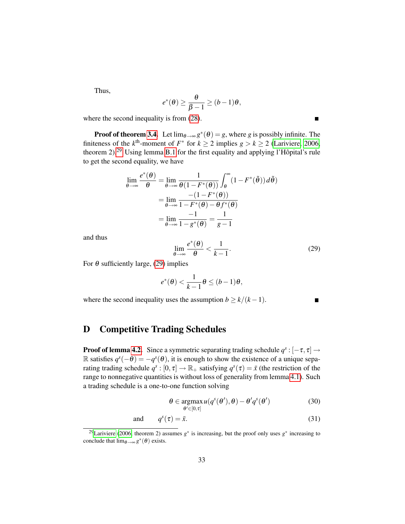Thus,

$$
e^*(\theta) \geq \frac{\theta}{\beta - 1} \geq (b - 1)\theta,
$$

where the second inequality is from  $(28)$ .

**Proof of theorem [3.4.](#page-15-2)** Let  $\lim_{\theta \to \infty} g^*(\theta) = g$ , where *g* is possibly infinite. The finiteness of the  $k^{\text{th}}$ -moment of  $F^*$  for  $k \ge 2$  implies  $g > k \ge 2$  [\(Lariviere, 2006,](#page-45-13) theorem 2).<sup>[29](#page-33-1)</sup> Using lemma [B.1](#page-31-2) for the first equality and applying l'Hôpital's rule to get the second equality, we have

$$
\lim_{\theta \to \infty} \frac{e^*(\theta)}{\theta} = \lim_{\theta \to \infty} \frac{1}{\theta(1 - F^*(\theta))} \int_{\theta}^{\infty} (1 - F^*(\tilde{\theta})) d\tilde{\theta}
$$

$$
= \lim_{\theta \to \infty} \frac{-(1 - F^*(\theta))}{1 - F^*(\theta) - \theta f^*(\theta)}
$$

$$
= \lim_{\theta \to \infty} \frac{-1}{1 - g^*(\theta)} = \frac{1}{g - 1}
$$

and thus

<span id="page-33-2"></span>
$$
\lim_{\theta \to \infty} \frac{e^*(\theta)}{\theta} < \frac{1}{k-1}.\tag{29}
$$

For  $\theta$  sufficiently large, [\(29\)](#page-33-2) implies

$$
e^*(\theta) < \frac{1}{k-1}\theta \leq (b-1)\theta,
$$

where the second inequality uses the assumption  $b \ge k/(k-1)$ .

<span id="page-33-4"></span><span id="page-33-3"></span>П

# <span id="page-33-0"></span>D Competitive Trading Schedules

**Proof of lemma [4.2.](#page-17-0)** Since a symmetric separating trading schedule  $q^s$  :  $[-\tau, \tau] \rightarrow$ R satisfies  $q^{s}(-\theta) = -q^{s}(\theta)$ , it is enough to show the existence of a unique separating trading schedule  $q^s$ :  $[0, \tau] \to \mathbb{R}_+$  satisfying  $q^s(\tau) = \bar{x}$  (the restriction of the range to nonnegative quantities is without loss of generality from lemma [4.1\)](#page-16-3). Such a trading schedule is a one-to-one function solving

$$
\theta \in \underset{\theta' \in [0,\tau]}{\operatorname{argmax}} u(q^s(\theta'), \theta) - \theta' q^s(\theta')
$$
 (30)

and 
$$
q^s(\tau) = \bar{x}.
$$
 (31)

 $\blacksquare$ 

<span id="page-33-1"></span><sup>&</sup>lt;sup>29</sup>[Lariviere](#page-45-13) [\(2006,](#page-45-13) theorem 2) assumes  $g^*$  is increasing, but the proof only uses  $g^*$  increasing to conclude that  $\lim_{\theta \to \infty} g^*(\theta)$  exists.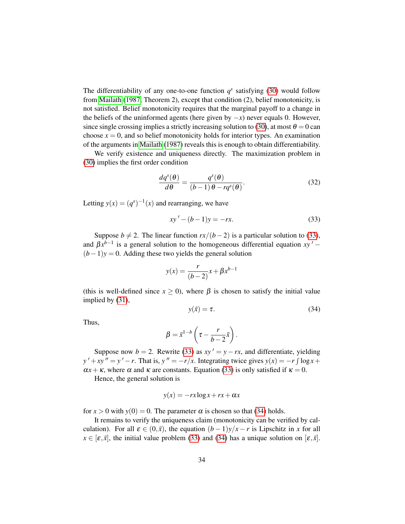The differentiability of any one-to-one function  $q^s$  satisfying [\(30\)](#page-33-3) would follow from [Mailath](#page-45-11) [\(1987,](#page-45-11) Theorem 2), except that condition (2), belief monotonicity, is not satisfied. Belief monotonicity requires that the marginal payoff to a change in the beliefs of the uninformed agents (here given by −*x*) never equals 0. However, since single crossing implies a strictly increasing solution to [\(30\)](#page-33-3), at most  $\theta = 0$  can choose  $x = 0$ , and so belief monotonicity holds for interior types. An examination of the arguments in [Mailath](#page-45-11) [\(1987\)](#page-45-11) reveals this is enough to obtain differentiability.

We verify existence and uniqueness directly. The maximization problem in [\(30\)](#page-33-3) implies the first order condition

<span id="page-34-2"></span>
$$
\frac{dq^{s}(\theta)}{d\theta} = \frac{q^{s}(\theta)}{(b-1)\theta - rq^{s}(\theta)}.
$$
\n(32)

Letting  $y(x) = (q^s)^{-1}(x)$  and rearranging, we have

<span id="page-34-0"></span>
$$
xy' - (b-1)y = -rx.
$$
 (33)

Suppose *b*  $\neq$  2. The linear function *rx*/(*b* − 2) is a particular solution to [\(33\)](#page-34-0), and  $\beta x^{b-1}$  is a general solution to the homogeneous differential equation  $xy'$  –  $(b-1)y = 0$ . Adding these two yields the general solution

$$
y(x) = \frac{r}{(b-2)}x + \beta x^{b-1}
$$

(this is well-defined since  $x \ge 0$ ), where  $\beta$  is chosen to satisfy the initial value implied by [\(31\)](#page-33-4),

<span id="page-34-1"></span>
$$
y(\bar{x}) = \tau.
$$
 (34)

Thus,

$$
\beta = \bar{x}^{1-b} \left( \tau - \frac{r}{b-2} \bar{x} \right).
$$

Suppose now  $b = 2$ . Rewrite [\(33\)](#page-34-0) as  $xy' = y - rx$ , and differentiate, yielding  $y' + xy'' = y' - r$ . That is,  $y'' = -r/x$ . Integrating twice gives  $y(x) = -r \int \log x +$  $\alpha x + \kappa$ , where  $\alpha$  and  $\kappa$  are constants. Equation [\(33\)](#page-34-0) is only satisfied if  $\kappa = 0$ .

Hence, the general solution is

$$
y(x) = -rx \log x + rx + \alpha x
$$

for  $x > 0$  with  $y(0) = 0$ . The parameter  $\alpha$  is chosen so that [\(34\)](#page-34-1) holds.

It remains to verify the uniqueness claim (monotonicity can be verified by calculation). For all  $\varepsilon \in (0,\bar{x})$ , the equation  $(b-1)y/x - r$  is Lipschitz in *x* for all  $x \in [\varepsilon, \bar{x}]$ , the initial value problem [\(33\)](#page-34-0) and [\(34\)](#page-34-1) has a unique solution on  $[\varepsilon, \bar{x}]$ .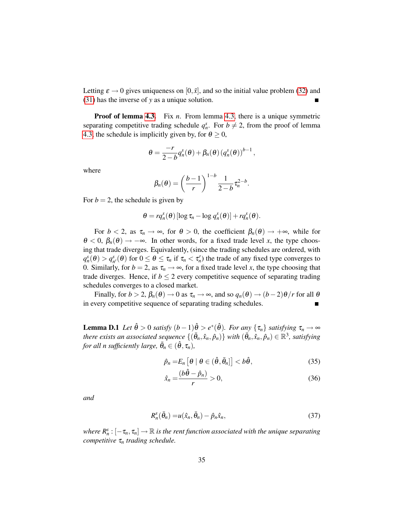Letting  $\varepsilon \to 0$  gives uniqueness on  $[0, \bar{x}]$ , and so the initial value problem [\(32\)](#page-34-2) and [\(31\)](#page-33-4) has the inverse of *y* as a unique solution.  $\blacksquare$ 

**Proof of lemma [4.3.](#page-18-0)** Fix *n*. From lemma [4.3,](#page-18-0) there is a unique symmetric separating competitive trading schedule  $q_n^s$ . For  $b \neq 2$ , from the proof of lemma [4.3,](#page-18-0) the schedule is implicitly given by, for  $\theta \ge 0$ ,

$$
\theta = \frac{-r}{2-b} q_n^s(\theta) + \beta_n(\theta) (q_n^s(\theta))^{b-1},
$$

where

$$
\beta_n(\theta) = \left(\frac{b-1}{r}\right)^{1-b} \frac{1}{2-b} \tau_n^{2-b}.
$$

For  $b = 2$ , the schedule is given by

$$
\theta = r q_n^s(\theta) [\log \tau_n - \log q_n^s(\theta)] + r q_n^s(\theta).
$$

For  $b < 2$ , as  $\tau_n \to \infty$ , for  $\theta > 0$ , the coefficient  $\beta_n(\theta) \to +\infty$ , while for  $\theta < 0$ ,  $\beta_n(\theta) \rightarrow -\infty$ . In other words, for a fixed trade level *x*, the type choosing that trade diverges. Equivalently, (since the trading schedules are ordered, with  $q_n^s(\theta) > q_{n'}^s(\theta)$  for  $0 \le \theta \le \tau_n$  if  $\tau_n < \tau_n'$ ) the trade of any fixed type converges to 0. Similarly, for  $b = 2$ , as  $\tau_n \rightarrow \infty$ , for a fixed trade level *x*, the type choosing that trade diverges. Hence, if  $b \leq 2$  every competitive sequence of separating trading schedules converges to a closed market.

Finally, for  $b > 2$ ,  $\beta_n(\theta) \to 0$  as  $\tau_n \to \infty$ , and so  $q_n(\theta) \to (b-2)\theta/r$  for all  $\theta$ in every competitive sequence of separating trading schedules.  $\blacksquare$ 

<span id="page-35-0"></span>**Lemma D.1** *Let*  $\hat{\theta} > 0$  *satisfy*  $(b-1)\hat{\theta} > e^*(\hat{\theta})$ *. For any*  $\{\tau_n\}$  *satisfying*  $\tau_n \to \infty$  $there$  exists an associated sequence  $\{(\bar{\theta}_n, \hat{x}_n, \hat{p}_n)\}$  with  $(\bar{\theta}_n, \hat{x}_n, \hat{p}_n) \in \mathbb{R}^3$ , satisfying  $f$ *or all n sufficiently large,*  $\bar{\theta}_n \in (\hat{\theta}, \tau_n)$ *,* 

<span id="page-35-1"></span>
$$
\hat{p}_n = E_n \left[ \theta \mid \theta \in (\hat{\theta}, \bar{\theta}_n] \right] < b \hat{\theta}, \tag{35}
$$

<span id="page-35-3"></span><span id="page-35-2"></span>
$$
\hat{x}_n = \frac{(b\hat{\theta} - \hat{p}_n)}{r} > 0,\tag{36}
$$

*and*

$$
R_n^s(\bar{\theta}_n) = u(\hat{x}_n, \bar{\theta}_n) - \hat{p}_n \hat{x}_n, \qquad (37)
$$

where  $R^s_n:[-\tau_n,\tau_n]\to\mathbb{R}$  is the rent function associated with the unique separating *competitive* τ*<sup>n</sup> trading schedule.*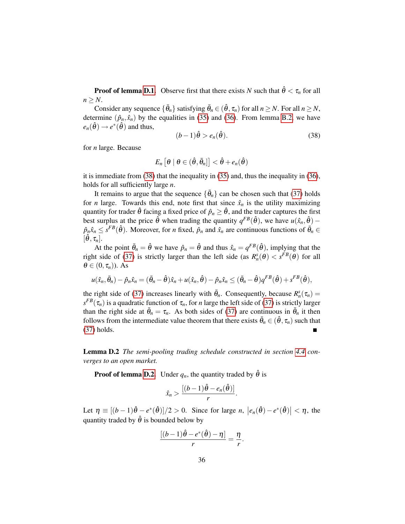**Proof of lemma [D.1.](#page-35-0)** Observe first that there exists *N* such that  $\hat{\theta} < \tau_n$  for all  $n \geq N$ .

Consider any sequence  $\{\bar{\theta}_n\}$  satisfying  $\bar{\theta}_n \in (\hat{\theta}, \tau_n)$  for all  $n \ge N$ . For all  $n \ge N$ , determine  $(\hat{p}_n, \hat{x}_n)$  by the equalities in [\(35\)](#page-35-1) and [\(36\)](#page-35-2). From lemma [B.2,](#page-31-0) we have  $e_n(\hat{\theta}) \rightarrow e^*(\hat{\theta})$  and thus,

<span id="page-36-1"></span>
$$
(b-1)\hat{\theta} > e_n(\hat{\theta}).
$$
\n(38)

for *n* large. Because

$$
E_n\left[\theta \mid \theta \in (\hat{\theta}, \bar{\theta}_n]\right] < \hat{\theta} + e_n(\hat{\theta})
$$

it is immediate from  $(38)$  that the inequality in  $(35)$  and, thus the inequality in  $(36)$ , holds for all sufficiently large *n*.

It remains to argue that the sequence  $\{\bar{\theta}_n\}$  can be chosen such that [\(37\)](#page-35-3) holds for *n* large. Towards this end, note first that since  $\hat{x}_n$  is the utility maximizing quantity for trader  $\hat{\theta}$  facing a fixed price of  $\hat{p}_n \geq \hat{\theta}$ , and the trader captures the first best surplus at the price  $\hat{\theta}$  when trading the quantity  $q^{FB}(\hat{\theta})$ , we have  $u(\hat{x}_n, \hat{\theta})$  –  $\hat{p}_n \hat{x}_n \leq s^{FB}(\hat{\theta})$ . Moreover, for *n* fixed,  $\hat{p}_n$  and  $\hat{x}_n$  are continuous functions of  $\bar{\theta}_n \in$  $[\hat{\theta}, \tau_n].$ 

At the point  $\bar{\theta}_n = \hat{\theta}$  we have  $\hat{p}_n = \hat{\theta}$  and thus  $\hat{x}_n = q^{FB}(\hat{\theta})$ , implying that the right side of [\(37\)](#page-35-3) is strictly larger than the left side (as  $R_n^s(\theta) < s^{FB}(\theta)$  for all  $\theta \in (0, \tau_n)$ ). As

$$
u(\hat{x}_n, \bar{\theta}_n) - \hat{p}_n \hat{x}_n = (\bar{\theta}_n - \hat{\theta})\hat{x}_n + u(\hat{x}_n, \hat{\theta}) - \hat{p}_n \hat{x}_n \leq (\bar{\theta}_n - \hat{\theta})q^{FB}(\hat{\theta}) + s^{FB}(\hat{\theta}),
$$

the right side of [\(37\)](#page-35-3) increases linearly with  $\bar{\theta}_n$ . Consequently, because  $R_n^s(\tau_n)$  =  $s^{FB}(\tau_n)$  is a quadratic function of  $\tau_n$ , for *n* large the left side of [\(37\)](#page-35-3) is strictly larger than the right side at  $\bar{\theta}_n = \tau_n$ . As both sides of [\(37\)](#page-35-3) are continuous in  $\bar{\theta}_n$  it then follows from the intermediate value theorem that there exists  $\bar{\theta}_n \in (\hat{\theta}, \tau_n)$  such that [\(37\)](#page-35-3) holds.

Lemma D.2 *The semi-pooling trading schedule constructed in section [4.4](#page-23-0) converges to an open market.*

**Proof of lemma [D.2.](#page-36-0)** Under  $q_n$ , the quantity traded by  $\hat{\theta}$  is

$$
\hat{x}_n > \frac{[(b-1)\hat{\theta} - e_n(\hat{\theta})]}{r}.
$$

Let  $\eta \equiv \left[ (b-1)\hat{\theta} - e^*(\hat{\theta}) \right] / 2 > 0$ . Since for large *n*,  $|e_n(\hat{\theta}) - e^*(\hat{\theta})| < \eta$ , the quantity traded by  $\hat{\theta}$  is bounded below by

$$
\frac{[(b-1)\hat{\theta} - e^*(\hat{\theta}) - \eta]}{r} = \frac{\eta}{r}
$$

<span id="page-36-0"></span>.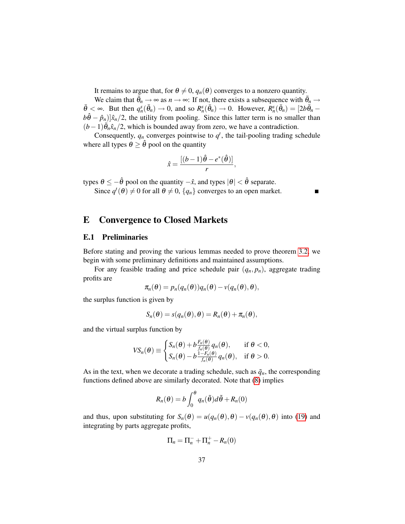It remains to argue that, for  $\theta \neq 0$ ,  $q_n(\theta)$  converges to a nonzero quantity.

We claim that  $\bar{\theta}_n \to \infty$  as  $n \to \infty$ : If not, there exists a subsequence with  $\bar{\theta}_n \to$  $\bar{\theta} < \infty$ . But then  $q_n^s(\bar{\theta}_n) \to 0$ , and so  $R_n^s(\bar{\theta}_n) \to 0$ . However,  $R_n^s(\bar{\theta}_n) = [2b\bar{\theta}_n$  $b\hat{\theta} - \hat{p}_n$ )] $\hat{x}_n/2$ , the utility from pooling. Since this latter term is no smaller than  $(b-1)\overline{\theta}_n \hat{x}_n/2$ , which is bounded away from zero, we have a contradiction.

Consequently,  $q_n$  converges pointwise to  $q^t$ , the tail-pooling trading schedule where all types  $\theta \geq \hat{\theta}$  pool on the quantity

$$
\hat{x} = \frac{[(b-1)\hat{\theta} - e^*(\hat{\theta})]}{r},
$$

types  $\theta \le -\hat{\theta}$  pool on the quantity  $-\hat{x}$ , and types  $|\theta| < \hat{\theta}$  separate.

Since  $q^t(\theta) \neq 0$  for all  $\theta \neq 0$ ,  $\{q_n\}$  converges to an open market.

 $\blacksquare$ 

## <span id="page-37-0"></span>E Convergence to Closed Markets

#### E.1 Preliminaries

Before stating and proving the various lemmas needed to prove theorem [3.2,](#page-12-2) we begin with some preliminary definitions and maintained assumptions.

For any feasible trading and price schedule pair  $(q_n, p_n)$ , aggregate trading profits are

$$
\pi_n(\boldsymbol{\theta}) = p_n(q_n(\boldsymbol{\theta}))q_n(\boldsymbol{\theta}) - \nu(q_n(\boldsymbol{\theta}), \boldsymbol{\theta}),
$$

the surplus function is given by

$$
S_n(\boldsymbol{\theta}) = s(q_n(\boldsymbol{\theta}), \boldsymbol{\theta}) = R_n(\boldsymbol{\theta}) + \pi_n(\boldsymbol{\theta}),
$$

and the virtual surplus function by

$$
VS_n(\theta) \equiv \begin{cases} S_n(\theta) + b \frac{F_n(\theta)}{f_n(\theta)} q_n(\theta), & \text{if } \theta < 0, \\ S_n(\theta) - b \frac{1 - F_n(\theta)}{f_n(\theta)} q_n(\theta), & \text{if } \theta > 0. \end{cases}
$$

As in the text, when we decorate a trading schedule, such as  $\tilde{q}_n$ , the corresponding functions defined above are similarly decorated. Note that [\(8\)](#page-9-3) implies

$$
R_n(\theta) = b \int_0^{\theta} q_n(\tilde{\theta}) d\tilde{\theta} + R_n(0)
$$

and thus, upon substituting for  $S_n(\theta) = u(q_n(\theta), \theta) - v(q_n(\theta), \theta)$  into [\(19\)](#page-26-3) and integrating by parts aggregate profits,

$$
\Pi_n=\Pi_n^-+\Pi_n^+-R_n(0)
$$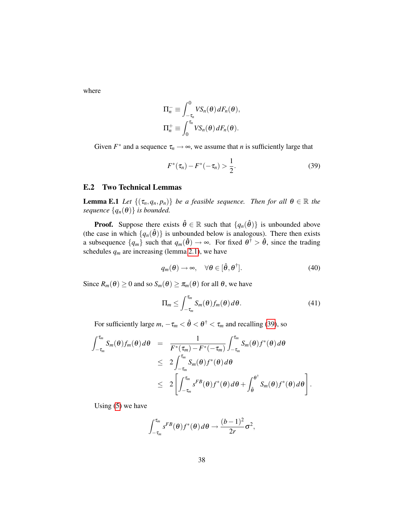where

$$
\Pi_n^- \equiv \int_{-\tau_n}^0 V S_n(\theta) dF_n(\theta),
$$
  

$$
\Pi_n^+ \equiv \int_0^{\tau_n} V S_n(\theta) dF_n(\theta).
$$

Given  $F^*$  and a sequence  $\tau_n \to \infty$ , we assume that *n* is sufficiently large that

<span id="page-38-0"></span>
$$
F^*(\tau_n) - F^*(-\tau_n) > \frac{1}{2}.\tag{39}
$$

#### E.2 Two Technical Lemmas

<span id="page-38-3"></span>**Lemma E.1** *Let*  $\{(\tau_n, q_n, p_n)\}$  *be a feasible sequence. Then for all*  $\theta \in \mathbb{R}$  *the sequence*  $\{q_n(\theta)\}\$  *is bounded.* 

**Proof.** Suppose there exists  $\hat{\theta} \in \mathbb{R}$  such that  $\{q_n(\hat{\theta})\}$  is unbounded above (the case in which  $\{q_n(\hat{\theta})\}$  is unbounded below is analogous). There then exists a subsequence  $\{q_m\}$  such that  $q_m(\hat{\theta}) \to \infty$ . For fixed  $\theta^{\dagger} > \hat{\theta}$ , since the trading schedules  $q_m$  are increasing (lemma [2.1\)](#page-9-1), we have

<span id="page-38-1"></span>
$$
q_m(\theta) \to \infty, \quad \forall \theta \in [\hat{\theta}, \theta^{\dagger}]. \tag{40}
$$

Since  $R_m(\theta) \ge 0$  and so  $S_m(\theta) \ge \pi_m(\theta)$  for all  $\theta$ , we have

<span id="page-38-2"></span>
$$
\Pi_m \le \int_{-\tau_m}^{\tau_m} S_m(\theta) f_m(\theta) \, d\theta. \tag{41}
$$

.

For sufficiently large  $m, -\tau_m < \hat{\theta} < \theta^{\dagger} < \tau_m$  and recalling [\(39\)](#page-38-0), so

$$
\int_{-\tau_m}^{\tau_m} S_m(\theta) f_m(\theta) d\theta = \frac{1}{F^*(\tau_m) - F^*(-\tau_m)} \int_{-\tau_m}^{\tau_m} S_m(\theta) f^*(\theta) d\theta
$$
  
\n
$$
\leq 2 \int_{-\tau_m}^{\tau_m} S_m(\theta) f^*(\theta) d\theta
$$
  
\n
$$
\leq 2 \left[ \int_{-\tau_m}^{\tau_m} s^{FB}(\theta) f^*(\theta) d\theta + \int_{\hat{\theta}}^{\theta^{\dagger}} S_m(\theta) f^*(\theta) d\theta \right]
$$

Using [\(5\)](#page-6-4) we have

$$
\int_{-\tau_m}^{\tau_m} s^{FB}(\theta) f^*(\theta) d\theta \to \frac{(b-1)^2}{2r} \sigma^2,
$$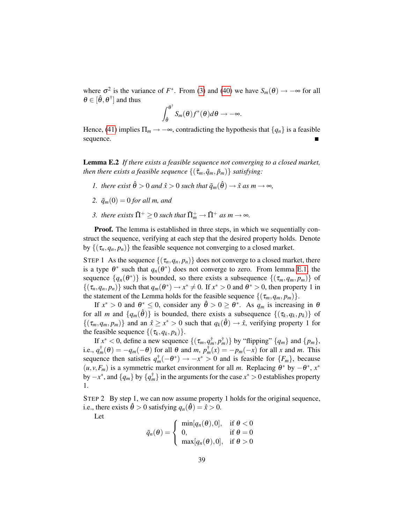where  $\sigma^2$  is the variance of  $F^*$ . From [\(3\)](#page-6-5) and [\(40\)](#page-38-1) we have  $S_m(\theta) \to -\infty$  for all  $\theta \in [\hat{\theta}, \theta^{\dagger}]$  and thus

$$
\int_{\hat{\theta}}^{\theta^{\dagger}} S_m(\theta) f^*(\theta) d\theta \rightarrow -\infty.
$$

Hence, [\(41\)](#page-38-2) implies  $\Pi_m \to -\infty$ , contradicting the hypothesis that  $\{q_n\}$  is a feasible sequence.

<span id="page-39-0"></span>Lemma E.2 *If there exists a feasible sequence not converging to a closed market, then there exists a feasible sequence*  $\{(\tilde{\tau}_m, \tilde{q}_m, \tilde{p}_m)\}$  *satisfying:* 

- *1. there exist*  $\hat{\theta} > 0$  *and*  $\hat{x} > 0$  *such that*  $\tilde{q}_m(\hat{\theta}) \rightarrow \hat{x}$  *as*  $m \rightarrow \infty$ *,*
- 2.  $\tilde{q}_m(0) = 0$  *for all m, and*
- *3. there exists*  $\tilde{\Pi}^+ \geq 0$  *such that*  $\tilde{\Pi}^+_m \rightarrow \tilde{\Pi}^+$  *as*  $m \rightarrow \infty$ *.*

Proof. The lemma is established in three steps, in which we sequentially construct the sequence, verifying at each step that the desired property holds. Denote by  $\{(\tau_n, q_n, p_n)\}\$  the feasible sequence not converging to a closed market.

STEP 1 As the sequence  $\{(\tau_n, q_n, p_n)\}$  does not converge to a closed market, there is a type  $\theta^*$  such that  $q_n(\theta^*)$  does not converge to zero. From lemma [E.1,](#page-38-3) the sequence  $\{q_n(\theta^*)\}$  is bounded, so there exists a subsequence  $\{(\tau_m, q_m, p_m)\}$  of  $\{(\tau_n, q_n, p_n)\}\$  such that  $q_m(\theta^*) \to x^* \neq 0$ . If  $x^* > 0$  and  $\theta^* > 0$ , then property 1 in the statement of the Lemma holds for the feasible sequence  $\{(\tau_m, q_m, p_m)\}.$ 

If  $x^* > 0$  and  $\theta^* \le 0$ , consider any  $\hat{\theta} > 0 \ge \theta^*$ . As  $q_m$  is increasing in  $\theta$ for all *m* and  $\{q_m(\hat{\theta})\}$  is bounded, there exists a subsequence  $\{(\tau_k, q_k, p_k)\}$  of  $\{(\tau_m, q_m, p_m)\}\$  and an  $\hat{x} \geq x^* > 0$  such that  $q_k(\hat{\theta}) \to \hat{x}$ , verifying property 1 for the feasible sequence  $\{(\tau_k, q_k, p_k)\}.$ 

If  $x^* < 0$ , define a new sequence  $\{(\tau_m, q_m^{\dagger}, p_m^{\dagger})\}$  by "flipping"  $\{q_m\}$  and  $\{p_m\}$ , i.e.,  $q_m^{\dagger}(\theta) = -q_m(-\theta)$  for all  $\theta$  and  $m$ ,  $p_m^{\dagger}(x) = -p_m(-x)$  for all *x* and *m*. This sequence then satisfies  $q_m^{\dagger}(-\theta^*) \to -x^* > 0$  and is feasible for  $\{F_m\}$ , because  $(u, v, F_m)$  is a symmetric market environment for all *m*. Replacing  $\theta^*$  by  $-\theta^*$ ,  $x^*$ by −*x* ∗ , and {*qm*} by {*q* † *<sup>m</sup>*} in the arguments for the case *x* <sup>∗</sup> > 0 establishes property 1.

STEP 2 By step 1, we can now assume property 1 holds for the original sequence, i.e., there exists  $\hat{\theta} > 0$  satisfying  $q_n(\hat{\theta}) = \hat{x} > 0$ .

Let

$$
\tilde{q}_n(\theta) = \begin{cases}\n\min[q_n(\theta), 0], & \text{if } \theta < 0 \\
0, & \text{if } \theta = 0 \\
\max[q_n(\theta), 0], & \text{if } \theta > 0\n\end{cases}
$$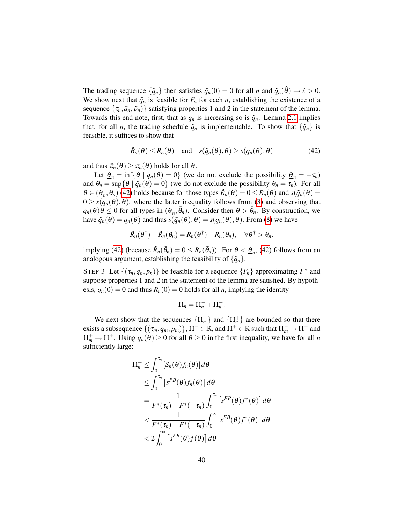The trading sequence  $\{\tilde{q}_n\}$  then satisfies  $\tilde{q}_n(0) = 0$  for all *n* and  $\tilde{q}_n(\hat{\theta}) \to \hat{x} > 0$ . We show next that  $\tilde{q}_n$  is feasible for  $F_n$  for each *n*, establishing the existence of a sequence  $\{\tau_n, \tilde{q}_n, \tilde{p}_n\}$  satisfying properties 1 and 2 in the statement of the lemma. Towards this end note, first, that as  $q_n$  is increasing so is  $\tilde{q}_n$ . Lemma [2.1](#page-9-1) implies that, for all *n*, the trading schedule  $\tilde{q}_n$  is implementable. To show that  $\{\tilde{q}_n\}$  is feasible, it suffices to show that

<span id="page-40-0"></span>
$$
\tilde{R}_n(\theta) \le R_n(\theta) \quad \text{and} \quad s(\tilde{q}_n(\theta), \theta) \ge s(q_n(\theta), \theta) \tag{42}
$$

and thus  $\tilde{\pi}_n(\theta) \geq \pi_n(\theta)$  holds for all  $\theta$ .

Let  $\underline{\theta}_n = \inf \{ \theta \mid \tilde{q}_n(\theta) = 0 \}$  (we do not exclude the possibility  $\underline{\theta}_n = -\tau_n$ ) and  $\bar{\theta}_n = \sup \{ \theta \mid \tilde{q}_n(\theta) = 0 \}$  (we do not exclude the possibility  $\bar{\theta}_n = \tau_n$ ). For all  $\theta \in (\underline{\theta}_n, \overline{\theta}_n)$  [\(42\)](#page-40-0) holds because for those types  $\overline{R}_n(\theta) = 0 \le R_n(\theta)$  and  $s(\overline{q}_n(\theta)) = 0$  $0 \geq s(q_n(\theta), \theta)$ , where the latter inequality follows from [\(3\)](#page-6-5) and observing that  $q_n(\theta)\theta \leq 0$  for all types in  $(\underline{\theta}_n, \overline{\theta}_n)$ . Consider then  $\theta > \overline{\theta}_n$ . By construction, we have  $\tilde{q}_n(\theta) = q_n(\theta)$  and thus  $s(\tilde{q}_n(\theta), \theta) = s(q_n(\theta), \theta)$ . From [\(8\)](#page-9-3) we have

$$
\tilde{R}_n(\theta^{\dagger}) - \tilde{R}_n(\bar{\theta}_n) = R_n(\theta^{\dagger}) - R_n(\bar{\theta}_n), \quad \forall \theta^{\dagger} > \bar{\theta}_n,
$$

implying [\(42\)](#page-40-0) (because  $\tilde{R}_n(\bar{\theta}_n) = 0 \le R_n(\bar{\theta}_n)$ ). For  $\theta < \underline{\theta}_n$ , (42) follows from an analogous argument, establishing the feasibility of  $\{\tilde{q}_n\}$ .

STEP 3 Let  $\{(\tau_n, q_n, p_n)\}\)$  be feasible for a sequence  $\{F_n\}$  approximating  $F^*$  and suppose properties 1 and 2 in the statement of the lemma are satisfied. By hypothesis,  $q_n(0) = 0$  and thus  $R_n(0) = 0$  holds for all *n*, implying the identity

$$
\Pi_n=\Pi_n^-+\Pi_n^+.
$$

We next show that the sequences  $\{\Pi_n^-\}$  and  $\{\Pi_n^+\}$  are bounded so that there exists a subsequence  $\{(\tau_m, q_m, p_m)\}, \Pi^{-} \in \mathbb{R}$ , and  $\Pi^{+} \in \mathbb{R}$  such that  $\Pi^-_m \to \Pi^{-}$  and  $\Pi_m^+ \to \Pi^+$ . Using  $q_n(\theta) \ge 0$  for all  $\theta \ge 0$  in the first inequality, we have for all *n* sufficiently large:

$$
\Pi_n^+ \leq \int_0^{\tau_n} \left[ S_n(\theta) f_n(\theta) \right] d\theta
$$
  
\n
$$
\leq \int_0^{\tau_n} \left[ s^{FB}(\theta) f_n(\theta) \right] d\theta
$$
  
\n
$$
= \frac{1}{F^*(\tau_n) - F^*(-\tau_n)} \int_0^{\tau_n} \left[ s^{FB}(\theta) f^*(\theta) \right] d\theta
$$
  
\n
$$
< \frac{1}{F^*(\tau_n) - F^*(-\tau_n)} \int_0^\infty \left[ s^{FB}(\theta) f^*(\theta) \right] d\theta
$$
  
\n
$$
< 2 \int_0^\infty \left[ s^{FB}(\theta) f(\theta) \right] d\theta
$$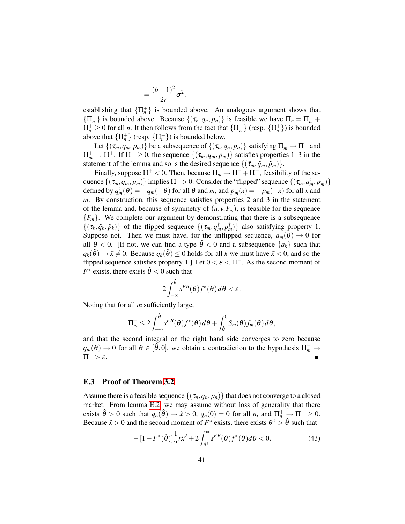$$
=\frac{(b-1)^2}{2r}\sigma^2,
$$

establishing that  $\{\Pi_n^+\}$  is bounded above. An analogous argument shows that  ${\{\Pi_n^-\}$  is bounded above. Because  ${\{\tau_n, q_n, p_n\}}$  is feasible we have  $\Pi_n = \Pi_n^- + \Pi_n^ \Pi_n^+ \geq 0$  for all *n*. It then follows from the fact that  $\{\Pi_n^-\}$  (resp.  $\{\Pi_n^+\}$ ) is bounded above that  $\{\Pi_n^+\}$  (resp.  $\{\Pi_n^-\}$ ) is bounded below.

Let  $\{(\tau_m, q_m, p_m)\}\$  be a subsequence of  $\{(\tau_n, q_n, p_n)\}\$  satisfying  $\Pi_m^- \to \Pi^-$  and  $\Pi_m^+ \to \Pi^+$ . If  $\Pi^+ \geq 0$ , the sequence  $\{(\tau_m, q_m, p_m)\}$  satisfies properties 1–3 in the statement of the lemma and so is the desired sequence  $\{(\tilde{\tau}_m, \tilde{q}_m, \tilde{p}_m)\}.$ 

Finally, suppose  $\Pi^+ < 0$ . Then, because  $\Pi_m \to \Pi^- + \Pi^+$ , feasibility of the sequence  $\{(\tau_m, q_m, p_m)\}\$ implies  $\Pi^- > 0$ . Consider the "flipped" sequence  $\{(\tau_m, q_m^{\dagger}, p_m^{\dagger})\}$ defined by  $q_m^{\dagger}(\theta) = -q_m(-\theta)$  for all  $\theta$  and  $m$ , and  $p_m^{\dagger}(x) = -p_m(-x)$  for all *x* and *m*. By construction, this sequence satisfies properties 2 and 3 in the statement of the lemma and, because of symmetry of  $(u, v, F_m)$ , is feasible for the sequence  ${F_m}$ . We complete our argument by demonstrating that there is a subsequence  $\{(\tau_k, \tilde{q}_k, \tilde{p}_k)\}\$  of the flipped sequence  $\{(\tau_m, q_m^{\dagger}, p_m^{\dagger})\}\$  also satisfying property 1. Suppose not. Then we must have, for the unflipped sequence,  $q_m(\theta) \rightarrow 0$  for all  $\theta$  < 0. [If not, we can find a type  $\tilde{\theta}$  < 0 and a subsequence  $\{q_k\}$  such that  $q_k(\tilde{\theta}) \rightarrow \tilde{x} \neq 0$ . Because  $q_k(\tilde{\theta}) \leq 0$  holds for all *k* we must have  $\tilde{x} < 0$ , and so the flipped sequence satisfies property 1.] Let  $0 < \varepsilon < \Pi^{-}$ . As the second moment of  $F^*$  exists, there exists  $\hat{\theta} < 0$  such that

$$
2\int_{-\infty}^{\hat{\theta}}s^{FB}(\theta)f^*(\theta)d\theta<\varepsilon.
$$

Noting that for all *m* sufficiently large,

$$
\Pi_m^- \leq 2 \int_{-\infty}^{\hat{\theta}} s^{FB}(\theta) f^*(\theta) d\theta + \int_{\hat{\theta}}^0 S_m(\theta) f_m(\theta) d\theta,
$$

and that the second integral on the right hand side converges to zero because  $q_m(\theta) \to 0$  for all  $\theta \in [\hat{\theta}, 0]$ , we obtain a contradiction to the hypothesis  $\Pi_m^- \to 0$  $\Pi^- > \varepsilon$ .

#### E.3 Proof of Theorem [3.2](#page-12-2)

Assume there is a feasible sequence  $\{(\tau_n, q_n, p_n)\}\$  that does not converge to a closed market. From lemma [E.2,](#page-39-0) we may assume without loss of generality that there exists  $\hat{\theta} > 0$  such that  $q_n(\hat{\theta}) \rightarrow \hat{x} > 0$ ,  $q_n(0) = 0$  for all *n*, and  $\Pi_n^+ \rightarrow \Pi^+ \ge 0$ . Because  $\hat{x} > 0$  and the second moment of  $F^*$  exists, there exists  $\theta^{\dagger} > \hat{\theta}$  such that

<span id="page-41-0"></span>
$$
- \left[1 - F^*(\hat{\boldsymbol{\theta}})\right] \frac{1}{2} r \hat{x}^2 + 2 \int_{\boldsymbol{\theta}^{\dagger}}^{\infty} s^{FB}(\boldsymbol{\theta}) f^*(\boldsymbol{\theta}) d\boldsymbol{\theta} < 0. \tag{43}
$$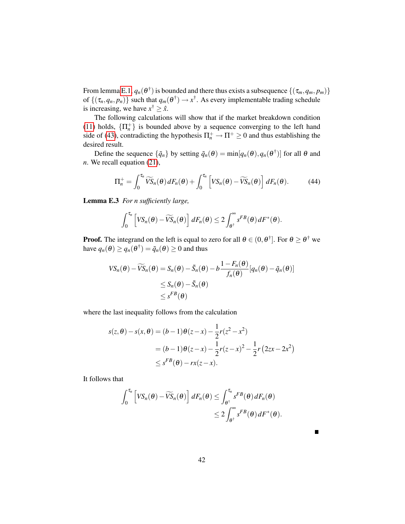From lemma [E.1,](#page-38-3)  $q_n(\theta^{\dagger})$  is bounded and there thus exists a subsequence  $\{(\tau_m, q_m, p_m)\}$ of  $\{(\tau_n, q_n, p_n)\}$  such that  $q_m(\theta^{\dagger}) \to x^{\dagger}$ . As every implementable trading schedule is increasing, we have  $x^{\dagger} \geq \hat{x}$ .

The following calculations will show that if the market breakdown condition [\(11\)](#page-12-1) holds,  $\{\Pi_n^+\}$  is bounded above by a sequence converging to the left hand side of [\(43\)](#page-41-0), contradicting the hypothesis  $\Pi_n^+ \to \Pi^+ \geq 0$  and thus establishing the desired result.

Define the sequence  $\{\tilde{q}_n\}$  by setting  $\tilde{q}_n(\theta) = \min[q_n(\theta), q_n(\theta^{\dagger})]$  for all  $\theta$  and *n*. We recall equation [\(21\)](#page-27-2),

<span id="page-42-1"></span>
$$
\Pi_n^+ = \int_0^{\tau_n} \widetilde{VS}_n(\theta) dF_n(\theta) + \int_0^{\tau_n} \left[ VS_n(\theta) - \widetilde{VS}_n(\theta) \right] dF_n(\theta).
$$
 (44)

<span id="page-42-0"></span>Lemma E.3 *For n sufficiently large,*

$$
\int_0^{\tau_n} \left[ VS_n(\theta) - \widetilde{VS}_n(\theta) \right] dF_n(\theta) \leq 2 \int_{\theta^{\dagger}}^{\infty} s^{FB}(\theta) dF^*(\theta).
$$

**Proof.** The integrand on the left is equal to zero for all  $\theta \in (0, \theta^{\dagger}]$ . For  $\theta \ge \theta^{\dagger}$  we have  $q_n(\theta) \ge q_n(\theta^{\dagger}) = \tilde{q}_n(\theta) \ge 0$  and thus

$$
VS_n(\theta) - \widetilde{VS}_n(\theta) = S_n(\theta) - \widetilde{S}_n(\theta) - b \frac{1 - F_n(\theta)}{f_n(\theta)} [q_n(\theta) - \widetilde{q}_n(\theta)]
$$
  

$$
\leq S_n(\theta) - \widetilde{S}_n(\theta)
$$
  

$$
\leq s^{FB}(\theta)
$$

where the last inequality follows from the calculation

$$
s(z, \theta) - s(x, \theta) = (b - 1)\theta(z - x) - \frac{1}{2}r(z^2 - x^2)
$$
  
=  $(b - 1)\theta(z - x) - \frac{1}{2}r(z - x)^2 - \frac{1}{2}r(2zx - 2x^2)$   
 $\leq s^{FB}(\theta) - rx(z - x).$ 

It follows that

$$
\int_0^{\tau_n} \left[ VS_n(\theta) - \widetilde{VS}_n(\theta) \right] dF_n(\theta) \leq \int_{\theta^{\dagger}}^{\tau_n} s^{FB}(\theta) dF_n(\theta)
$$
  

$$
\leq 2 \int_{\theta^{\dagger}}^{\infty} s^{FB}(\theta) dF^*(\theta).
$$

42

 $\blacksquare$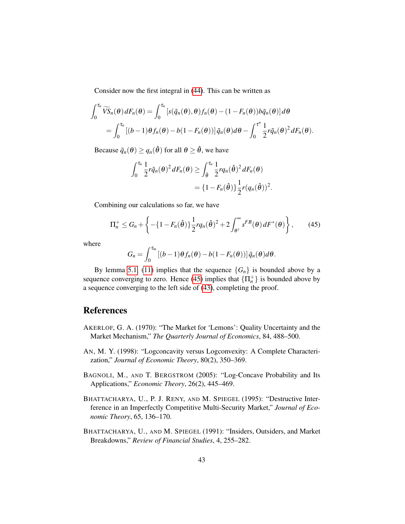Consider now the first integral in [\(44\)](#page-42-1). This can be written as

$$
\int_0^{\tau_n} \widetilde{VS}_n(\theta) dF_n(\theta) = \int_0^{\tau_n} \left[ s(\tilde{q}_n(\theta), \theta) f_n(\theta) - (1 - F_n(\theta)) b \tilde{q}_n(\theta) \right] d\theta
$$
  
= 
$$
\int_0^{\tau_n} \left[ (b-1) \theta f_n(\theta) - b(1 - F_n(\theta)) \right] \tilde{q}_n(\theta) d\theta - \int_0^{\tau^n} \frac{1}{2} r \tilde{q}_n(\theta)^2 dF_n(\theta).
$$

Because  $\tilde{q}_n(\theta) \ge q_n(\hat{\theta})$  for all  $\theta \ge \hat{\theta}$ , we have

$$
\int_0^{\tau_n} \frac{1}{2} r \tilde{q}_n(\theta)^2 dF_n(\theta) \ge \int_{\hat{\theta}}^{\tau_n} \frac{1}{2} r q_n(\hat{\theta})^2 dF_n(\theta)
$$
  
=  $\{1 - F_n(\hat{\theta})\} \frac{1}{2} r (q_n(\hat{\theta}))^2$ .

Combining our calculations so far, we have

<span id="page-43-5"></span>
$$
\Pi_n^+ \leq G_n + \left\{ -\{1 - F_n(\hat{\boldsymbol{\theta}})\} \frac{1}{2} r q_n(\hat{\boldsymbol{\theta}})^2 + 2 \int_{\boldsymbol{\theta}^+}^{\infty} s^{FB}(\boldsymbol{\theta}) dF^*(\boldsymbol{\theta}) \right\},\qquad(45)
$$

where

$$
G_n = \int_0^{\tau_m} \left[ (b-1) \theta f_n(\theta) - b(1 - F_n(\theta)) \right] \tilde{q}_n(\theta) d\theta.
$$

By lemma [5.1,](#page-28-5) [\(11\)](#page-12-1) implies that the sequence  ${G_n}$  is bounded above by a sequence converging to zero. Hence [\(45\)](#page-43-5) implies that  $\{\Pi_n^+\}$  is bounded above by a sequence converging to the left side of [\(43\)](#page-41-0), completing the proof.

## References

- <span id="page-43-0"></span>AKERLOF, G. A. (1970): "The Market for 'Lemons': Quality Uncertainty and the Market Mechanism," *The Quarterly Journal of Economics*, 84, 488–500.
- <span id="page-43-3"></span>AN, M. Y. (1998): "Logconcavity versus Logconvexity: A Complete Characterization," *Journal of Economic Theory*, 80(2), 350–369.
- <span id="page-43-4"></span>BAGNOLI, M., AND T. BERGSTROM (2005): "Log-Concave Probability and Its Applications," *Economic Theory*, 26(2), 445–469.
- <span id="page-43-2"></span>BHATTACHARYA, U., P. J. RENY, AND M. SPIEGEL (1995): "Destructive Interference in an Imperfectly Competitive Multi-Security Market," *Journal of Economic Theory*, 65, 136–170.
- <span id="page-43-1"></span>BHATTACHARYA, U., AND M. SPIEGEL (1991): "Insiders, Outsiders, and Market Breakdowns," *Review of Financial Studies*, 4, 255–282.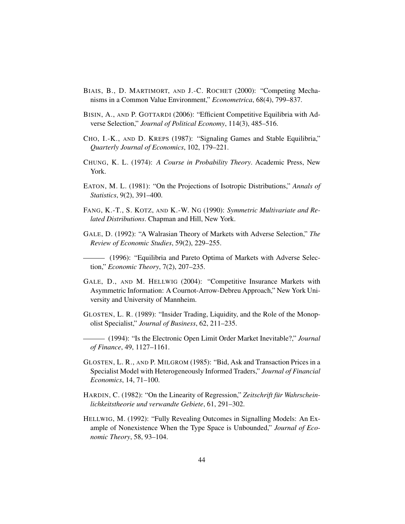- <span id="page-44-3"></span>BIAIS, B., D. MARTIMORT, AND J.-C. ROCHET (2000): "Competing Mechanisms in a Common Value Environment," *Econometrica*, 68(4), 799–837.
- <span id="page-44-6"></span>BISIN, A., AND P. GOTTARDI (2006): "Efficient Competitive Equilibria with Adverse Selection," *Journal of Political Economy*, 114(3), 485–516.
- <span id="page-44-7"></span>CHO, I.-K., AND D. KREPS (1987): "Signaling Games and Stable Equilibria," *Quarterly Journal of Economics*, 102, 179–221.
- <span id="page-44-10"></span>CHUNG, K. L. (1974): *A Course in Probability Theory*. Academic Press, New York.
- <span id="page-44-11"></span>EATON, M. L. (1981): "On the Projections of Isotropic Distributions," *Annals of Statistics*, 9(2), 391–400.
- <span id="page-44-12"></span>FANG, K.-T., S. KOTZ, AND K.-W. NG (1990): *Symmetric Multivariate and Related Distributions*. Chapman and Hill, New York.
- <span id="page-44-8"></span>GALE, D. (1992): "A Walrasian Theory of Markets with Adverse Selection," *The Review of Economic Studies*, 59(2), 229–255.

<span id="page-44-9"></span>(1996): "Equilibria and Pareto Optima of Markets with Adverse Selection," *Economic Theory*, 7(2), 207–235.

- <span id="page-44-5"></span>GALE, D., AND M. HELLWIG (2004): "Competitive Insurance Markets with Asymmetric Information: A Cournot-Arrow-Debreu Approach," New York University and University of Mannheim.
- <span id="page-44-1"></span>GLOSTEN, L. R. (1989): "Insider Trading, Liquidity, and the Role of the Monopolist Specialist," *Journal of Business*, 62, 211–235.
- <span id="page-44-2"></span>(1994): "Is the Electronic Open Limit Order Market Inevitable?," *Journal of Finance*, 49, 1127–1161.
- <span id="page-44-0"></span>GLOSTEN, L. R., AND P. MILGROM (1985): "Bid, Ask and Transaction Prices in a Specialist Model with Heterogeneously Informed Traders," *Journal of Financial Economics*, 14, 71–100.
- <span id="page-44-13"></span>HARDIN, C. (1982): "On the Linearity of Regression," *Zeitschrift fur Wahrschein- ¨ lichkeitstheorie und verwandte Gebiete*, 61, 291–302.
- <span id="page-44-4"></span>HELLWIG, M. (1992): "Fully Revealing Outcomes in Signalling Models: An Example of Nonexistence When the Type Space is Unbounded," *Journal of Economic Theory*, 58, 93–104.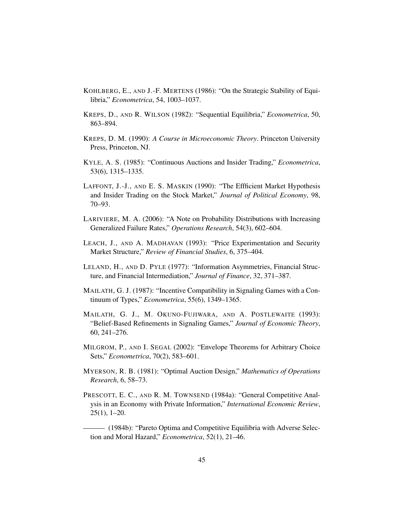- <span id="page-45-5"></span>KOHLBERG, E., AND J.-F. MERTENS (1986): "On the Strategic Stability of Equilibria," *Econometrica*, 54, 1003–1037.
- <span id="page-45-9"></span>KREPS, D., AND R. WILSON (1982): "Sequential Equilibria," *Econometrica*, 50, 863–894.
- <span id="page-45-2"></span>KREPS, D. M. (1990): *A Course in Microeconomic Theory*. Princeton University Press, Princeton, NJ.
- <span id="page-45-1"></span>KYLE, A. S. (1985): "Continuous Auctions and Insider Trading," *Econometrica*, 53(6), 1315–1335.
- <span id="page-45-7"></span>LAFFONT, J.-J., AND E. S. MASKIN (1990): "The Effficient Market Hypothesis and Insider Trading on the Stock Market," *Journal of Political Economy*, 98, 70–93.
- <span id="page-45-13"></span>LARIVIERE, M. A. (2006): "A Note on Probability Distributions with Increasing Generalized Failure Rates," *Operations Research*, 54(3), 602–604.
- <span id="page-45-0"></span>LEACH, J., AND A. MADHAVAN (1993): "Price Experimentation and Security Market Structure," *Review of Financial Studies*, 6, 375–404.
- <span id="page-45-8"></span>LELAND, H., AND D. PYLE (1977): "Information Asymmetries, Financial Structure, and Financial Intermediation," *Journal of Finance*, 32, 371–387.
- <span id="page-45-11"></span>MAILATH, G. J. (1987): "Incentive Compatibility in Signaling Games with a Continuum of Types," *Econometrica*, 55(6), 1349–1365.
- <span id="page-45-6"></span>MAILATH, G. J., M. OKUNO-FUJIWARA, AND A. POSTLEWAITE (1993): "Belief-Based Refinements in Signaling Games," *Journal of Economic Theory*, 60, 241–276.
- <span id="page-45-10"></span>MILGROM, P., AND I. SEGAL (2002): "Envelope Theorems for Arbitrary Choice Sets," *Econometrica*, 70(2), 583–601.
- <span id="page-45-12"></span>MYERSON, R. B. (1981): "Optimal Auction Design," *Mathematics of Operations Research*, 6, 58–73.
- <span id="page-45-3"></span>PRESCOTT, E. C., AND R. M. TOWNSEND (1984a): "General Competitive Analysis in an Economy with Private Information," *International Economic Review*, 25(1), 1–20.
- <span id="page-45-4"></span>(1984b): "Pareto Optima and Competitive Equilibria with Adverse Selection and Moral Hazard," *Econometrica*, 52(1), 21–46.